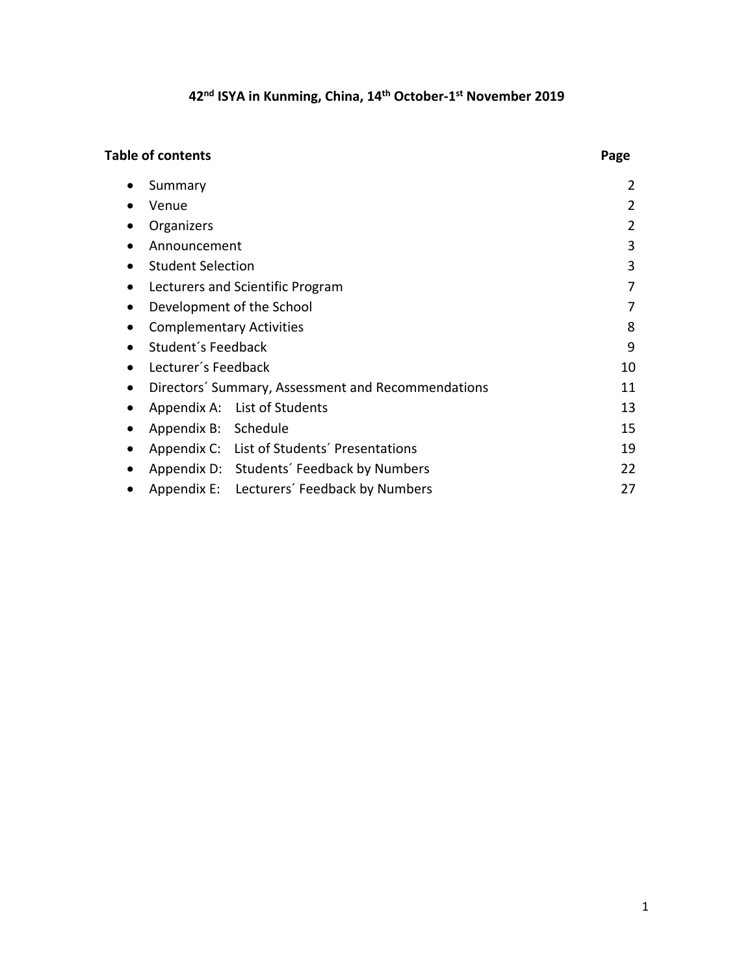# **42nd ISYA in Kunming, China, 14th October-1st November 2019**

# **Table of contents** Page

|           | Summary                         |                                                    | 2  |
|-----------|---------------------------------|----------------------------------------------------|----|
|           | Venue                           |                                                    | 2  |
|           | Organizers                      |                                                    | 2  |
|           | Announcement                    |                                                    | 3  |
|           | <b>Student Selection</b>        |                                                    | 3  |
| $\bullet$ |                                 | Lecturers and Scientific Program                   | 7  |
| $\bullet$ |                                 | Development of the School                          | 7  |
|           | <b>Complementary Activities</b> | 8                                                  |    |
| $\bullet$ | Student's Feedback              |                                                    | 9  |
|           | Lecturer's Feedback             |                                                    | 10 |
|           |                                 | Directors' Summary, Assessment and Recommendations | 11 |
| $\bullet$ |                                 | Appendix A: List of Students                       | 13 |
| $\bullet$ | Appendix B: Schedule            |                                                    | 15 |
|           |                                 | Appendix C: List of Students' Presentations        | 19 |
|           |                                 | Appendix D: Students' Feedback by Numbers          | 22 |
|           |                                 | Appendix E: Lecturers' Feedback by Numbers         | 27 |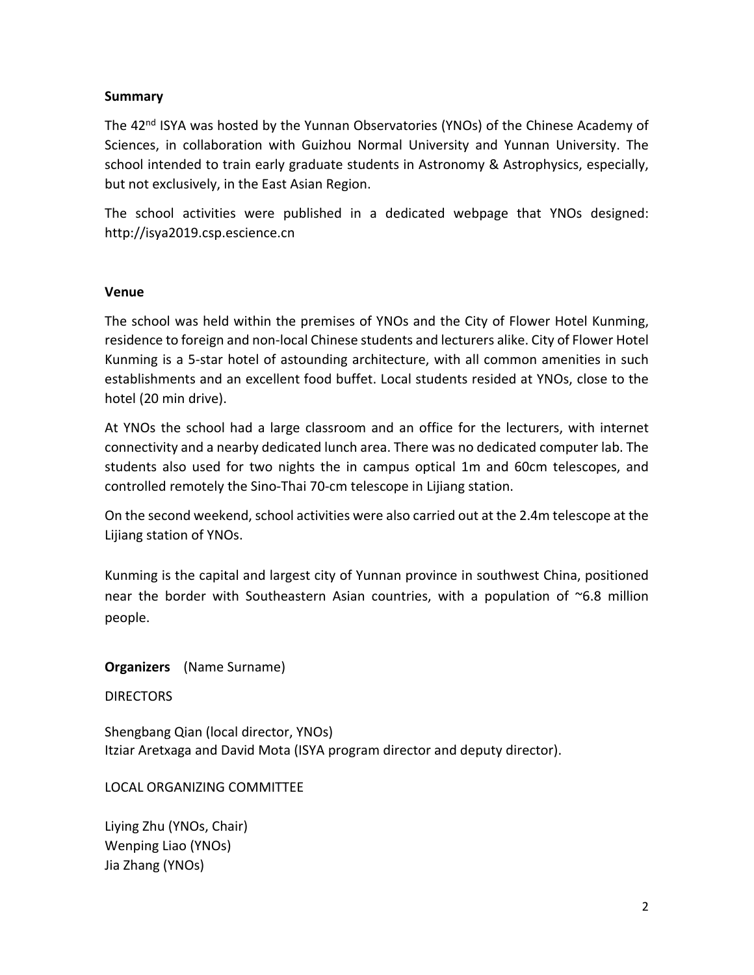### **Summary**

The 42<sup>nd</sup> ISYA was hosted by the Yunnan Observatories (YNOs) of the Chinese Academy of Sciences, in collaboration with Guizhou Normal University and Yunnan University. The school intended to train early graduate students in Astronomy & Astrophysics, especially, but not exclusively, in the East Asian Region.

The school activities were published in a dedicated webpage that YNOs designed: http://isya2019.csp.escience.cn

### **Venue**

The school was held within the premises of YNOs and the City of Flower Hotel Kunming, residence to foreign and non-local Chinese students and lecturers alike. City of Flower Hotel Kunming is a 5-star hotel of astounding architecture, with all common amenities in such establishments and an excellent food buffet. Local students resided at YNOs, close to the hotel (20 min drive).

At YNOs the school had a large classroom and an office for the lecturers, with internet connectivity and a nearby dedicated lunch area. There was no dedicated computer lab. The students also used for two nights the in campus optical 1m and 60cm telescopes, and controlled remotely the Sino-Thai 70-cm telescope in Lijiang station.

On the second weekend, school activities were also carried out at the 2.4m telescope at the Lijiang station of YNOs.

Kunming is the capital and largest city of Yunnan province in southwest China, positioned near the border with Southeastern Asian countries, with a population of ~6.8 million people.

**Organizers** (Name Surname)

**DIRECTORS** 

Shengbang Qian (local director, YNOs) Itziar Aretxaga and David Mota (ISYA program director and deputy director).

LOCAL ORGANIZING COMMITTEE

Liying Zhu (YNOs, Chair) Wenping Liao (YNOs) Jia Zhang (YNOs)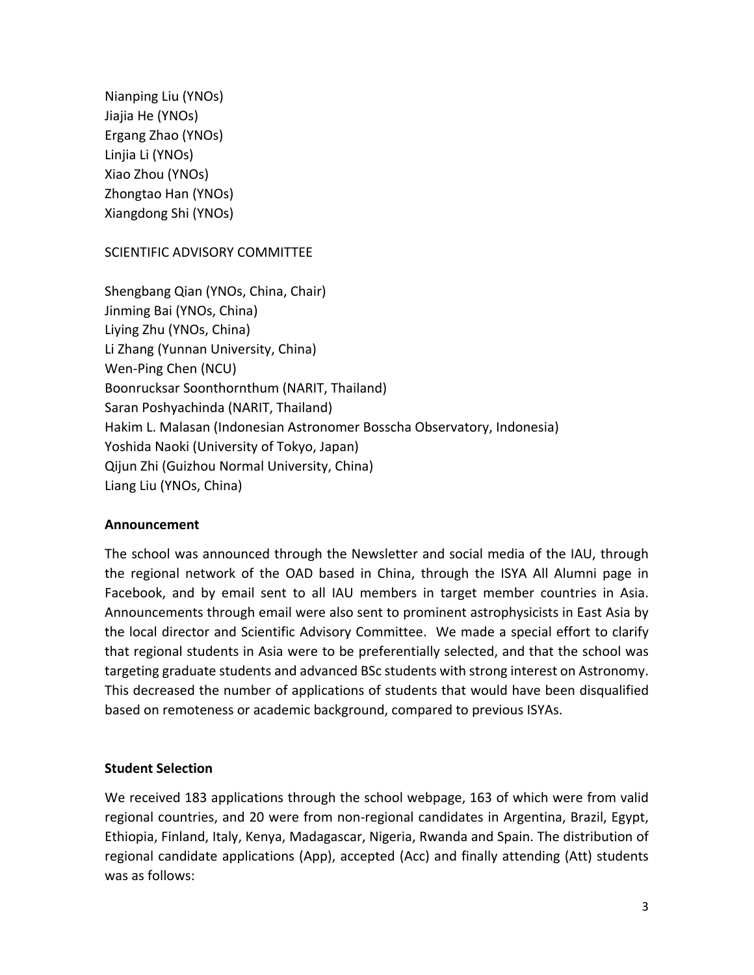Nianping Liu (YNOs) Jiajia He (YNOs) Ergang Zhao (YNOs) Linjia Li (YNOs) Xiao Zhou (YNOs) Zhongtao Han (YNOs) Xiangdong Shi (YNOs)

SCIENTIFIC ADVISORY COMMITTEE

Shengbang Qian (YNOs, China, Chair) Jinming Bai (YNOs, China) Liying Zhu (YNOs, China) Li Zhang (Yunnan University, China) Wen-Ping Chen (NCU) Boonrucksar Soonthornthum (NARIT, Thailand) Saran Poshyachinda (NARIT, Thailand) Hakim L. Malasan (Indonesian Astronomer Bosscha Observatory, Indonesia) Yoshida Naoki (University of Tokyo, Japan) Qijun Zhi (Guizhou Normal University, China) Liang Liu (YNOs, China)

### **Announcement**

The school was announced through the Newsletter and social media of the IAU, through the regional network of the OAD based in China, through the ISYA All Alumni page in Facebook, and by email sent to all IAU members in target member countries in Asia. Announcements through email were also sent to prominent astrophysicists in East Asia by the local director and Scientific Advisory Committee. We made a special effort to clarify that regional students in Asia were to be preferentially selected, and that the school was targeting graduate students and advanced BSc students with strong interest on Astronomy. This decreased the number of applications of students that would have been disqualified based on remoteness or academic background, compared to previous ISYAs.

### **Student Selection**

We received 183 applications through the school webpage, 163 of which were from valid regional countries, and 20 were from non-regional candidates in Argentina, Brazil, Egypt, Ethiopia, Finland, Italy, Kenya, Madagascar, Nigeria, Rwanda and Spain. The distribution of regional candidate applications (App), accepted (Acc) and finally attending (Att) students was as follows: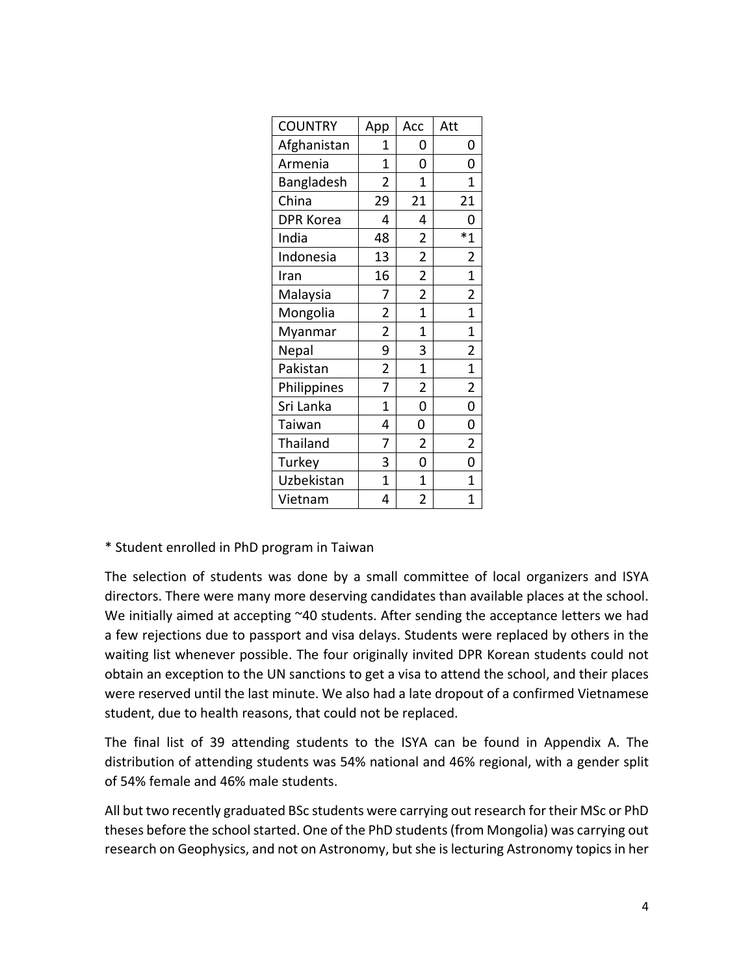| <b>COUNTRY</b>   | App                     | Acc            | Att                     |
|------------------|-------------------------|----------------|-------------------------|
| Afghanistan      | 1                       | 0              | 0                       |
| Armenia          | 1                       | 0              | 0                       |
| Bangladesh       | $\overline{2}$          | 1              | 1                       |
| China            | 29                      | 21             | 21                      |
| <b>DPR Korea</b> | 4                       | 4              | 0                       |
| India            | 48                      | $\overline{2}$ | $*_{1}$                 |
| Indonesia        | 13                      | $\overline{2}$ | $\overline{2}$          |
| Iran             | 16                      | $\overline{2}$ | 1                       |
| Malaysia         | 7                       | $\overline{2}$ | $\overline{2}$          |
| Mongolia         | $\overline{2}$          | $\overline{1}$ | $\overline{1}$          |
| Myanmar          | $\overline{2}$          | $\overline{1}$ | $\overline{1}$          |
| Nepal            | 9                       | 3              | $\overline{\mathbf{c}}$ |
| Pakistan         | $\overline{\mathbf{c}}$ | 1              | $\overline{1}$          |
| Philippines      | 7                       | $\overline{2}$ | $\overline{\mathbf{c}}$ |
| Sri Lanka        | $\overline{1}$          | 0              | 0                       |
| Taiwan           | 4                       | 0              | 0                       |
| Thailand         | 7                       | $\overline{2}$ | $\overline{2}$          |
| Turkey           | 3                       | 0              | 0                       |
| Uzbekistan       | $\overline{1}$          | $\mathbf 1$    | 1                       |
| Vietnam          | 4                       | $\overline{2}$ | 1                       |

\* Student enrolled in PhD program in Taiwan

The selection of students was done by a small committee of local organizers and ISYA directors. There were many more deserving candidates than available places at the school. We initially aimed at accepting ~40 students. After sending the acceptance letters we had a few rejections due to passport and visa delays. Students were replaced by others in the waiting list whenever possible. The four originally invited DPR Korean students could not obtain an exception to the UN sanctions to get a visa to attend the school, and their places were reserved until the last minute. We also had a late dropout of a confirmed Vietnamese student, due to health reasons, that could not be replaced.

The final list of 39 attending students to the ISYA can be found in Appendix A. The distribution of attending students was 54% national and 46% regional, with a gender split of 54% female and 46% male students.

All but two recently graduated BSc students were carrying out research for their MSc or PhD theses before the school started. One of the PhD students (from Mongolia) was carrying out research on Geophysics, and not on Astronomy, but she is lecturing Astronomy topics in her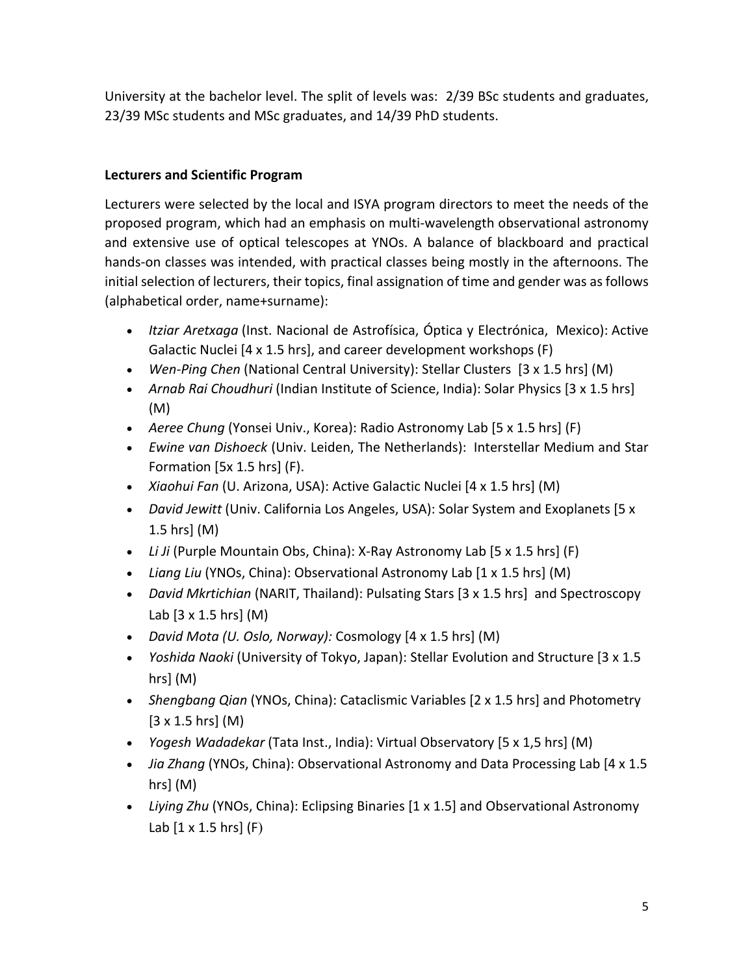University at the bachelor level. The split of levels was: 2/39 BSc students and graduates, 23/39 MSc students and MSc graduates, and 14/39 PhD students.

# **Lecturers and Scientific Program**

Lecturers were selected by the local and ISYA program directors to meet the needs of the proposed program, which had an emphasis on multi-wavelength observational astronomy and extensive use of optical telescopes at YNOs. A balance of blackboard and practical hands-on classes was intended, with practical classes being mostly in the afternoons. The initial selection of lecturers, their topics, final assignation of time and gender was as follows (alphabetical order, name+surname):

- *Itziar Aretxaga* (Inst. Nacional de Astrofísica, Óptica y Electrónica, Mexico): Active Galactic Nuclei [4 x 1.5 hrs], and career development workshops (F)
- *Wen-Ping Chen* (National Central University): Stellar Clusters [3 x 1.5 hrs] (M)
- *Arnab Rai Choudhuri* (Indian Institute of Science, India): Solar Physics [3 x 1.5 hrs] (M)
- *Aeree Chung* (Yonsei Univ., Korea): Radio Astronomy Lab [5 x 1.5 hrs] (F)
- *Ewine van Dishoeck* (Univ. Leiden, The Netherlands): Interstellar Medium and Star Formation [5x 1.5 hrs] (F).
- *Xiaohui Fan* (U. Arizona, USA): Active Galactic Nuclei [4 x 1.5 hrs] (M)
- *David Jewitt* (Univ. California Los Angeles, USA): Solar System and Exoplanets [5 x 1.5 hrs] (M)
- *Li Ji* (Purple Mountain Obs, China): X-Ray Astronomy Lab [5 x 1.5 hrs] (F)
- *Liang Liu* (YNOs, China): Observational Astronomy Lab [1 x 1.5 hrs] (M)
- *David Mkrtichian* (NARIT, Thailand): Pulsating Stars [3 x 1.5 hrs] and Spectroscopy Lab [3 x 1.5 hrs] (M)
- *David Mota (U. Oslo, Norway):* Cosmology [4 x 1.5 hrs] (M)
- *Yoshida Naoki* (University of Tokyo, Japan): Stellar Evolution and Structure [3 x 1.5 hrs] (M)
- *Shengbang Qian* (YNOs, China): Cataclismic Variables [2 x 1.5 hrs] and Photometry [3 x 1.5 hrs] (M)
- *Yogesh Wadadekar* (Tata Inst., India): Virtual Observatory [5 x 1,5 hrs] (M)
- *Jia Zhang* (YNOs, China): Observational Astronomy and Data Processing Lab [4 x 1.5 hrs] (M)
- *Liying Zhu* (YNOs, China): Eclipsing Binaries [1 x 1.5] and Observational Astronomy Lab  $[1 \times 1.5$  hrs $]$  (F)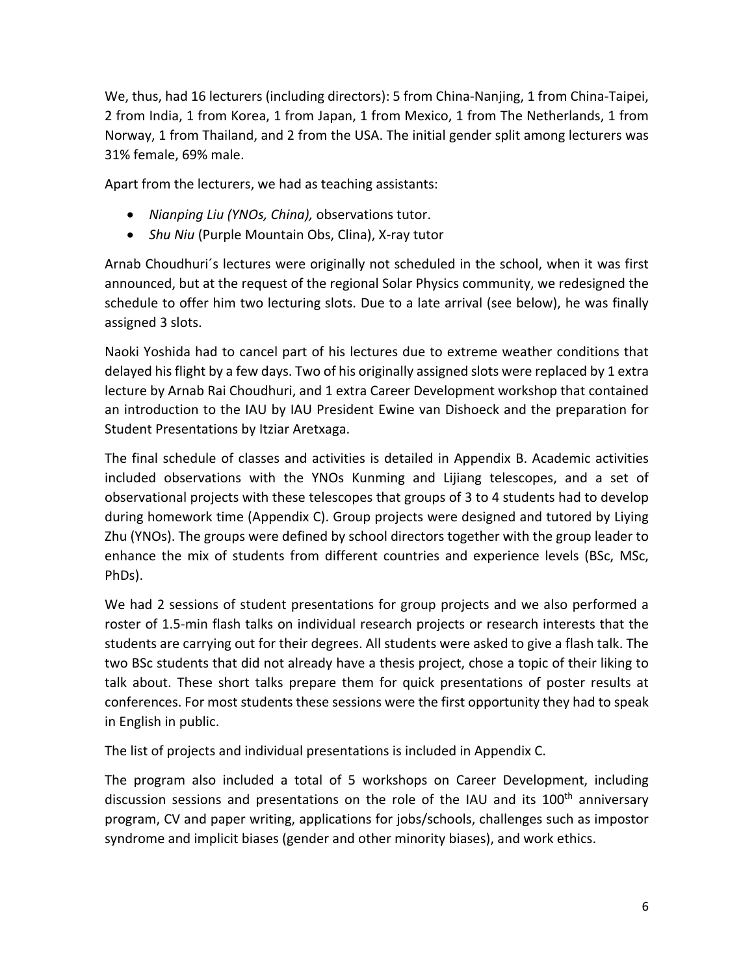We, thus, had 16 lecturers (including directors): 5 from China-Nanjing, 1 from China-Taipei, 2 from India, 1 from Korea, 1 from Japan, 1 from Mexico, 1 from The Netherlands, 1 from Norway, 1 from Thailand, and 2 from the USA. The initial gender split among lecturers was 31% female, 69% male.

Apart from the lecturers, we had as teaching assistants:

- *Nianping Liu (YNOs, China),* observations tutor.
- *Shu Niu* (Purple Mountain Obs, Clina), X-ray tutor

Arnab Choudhuri´s lectures were originally not scheduled in the school, when it was first announced, but at the request of the regional Solar Physics community, we redesigned the schedule to offer him two lecturing slots. Due to a late arrival (see below), he was finally assigned 3 slots.

Naoki Yoshida had to cancel part of his lectures due to extreme weather conditions that delayed his flight by a few days. Two of his originally assigned slots were replaced by 1 extra lecture by Arnab Rai Choudhuri, and 1 extra Career Development workshop that contained an introduction to the IAU by IAU President Ewine van Dishoeck and the preparation for Student Presentations by Itziar Aretxaga.

The final schedule of classes and activities is detailed in Appendix B. Academic activities included observations with the YNOs Kunming and Lijiang telescopes, and a set of observational projects with these telescopes that groups of 3 to 4 students had to develop during homework time (Appendix C). Group projects were designed and tutored by Liying Zhu (YNOs). The groups were defined by school directors together with the group leader to enhance the mix of students from different countries and experience levels (BSc, MSc, PhDs).

We had 2 sessions of student presentations for group projects and we also performed a roster of 1.5-min flash talks on individual research projects or research interests that the students are carrying out for their degrees. All students were asked to give a flash talk. The two BSc students that did not already have a thesis project, chose a topic of their liking to talk about. These short talks prepare them for quick presentations of poster results at conferences. For most students these sessions were the first opportunity they had to speak in English in public.

The list of projects and individual presentations is included in Appendix C.

The program also included a total of 5 workshops on Career Development, including discussion sessions and presentations on the role of the IAU and its 100<sup>th</sup> anniversary program, CV and paper writing, applications for jobs/schools, challenges such as impostor syndrome and implicit biases (gender and other minority biases), and work ethics.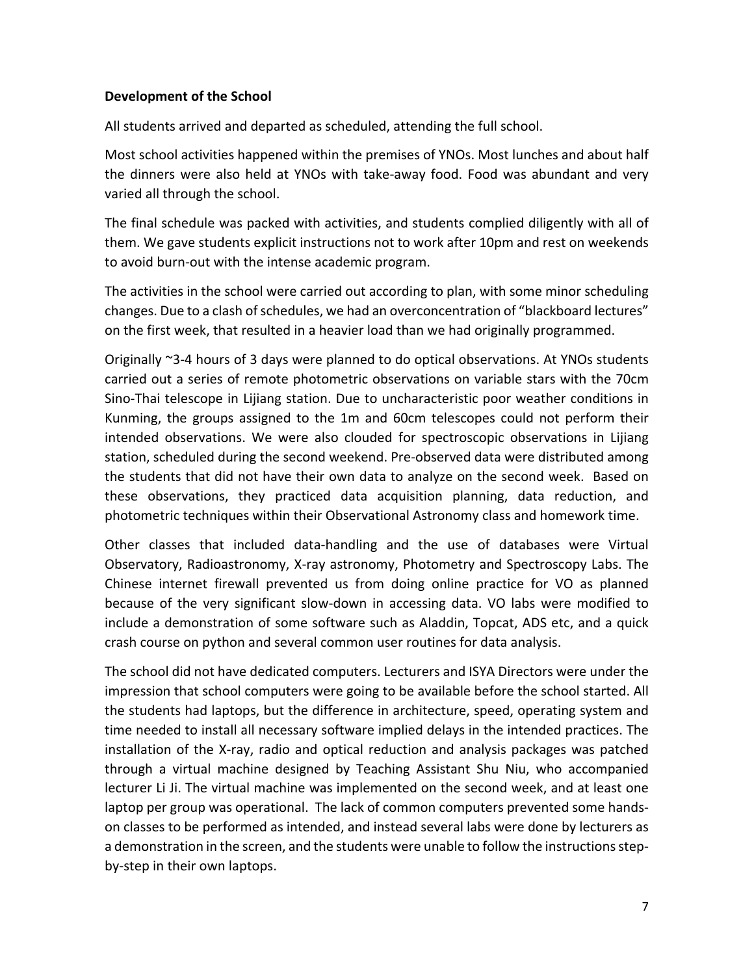### **Development of the School**

All students arrived and departed as scheduled, attending the full school.

Most school activities happened within the premises of YNOs. Most lunches and about half the dinners were also held at YNOs with take-away food. Food was abundant and very varied all through the school.

The final schedule was packed with activities, and students complied diligently with all of them. We gave students explicit instructions not to work after 10pm and rest on weekends to avoid burn-out with the intense academic program.

The activities in the school were carried out according to plan, with some minor scheduling changes. Due to a clash of schedules, we had an overconcentration of "blackboard lectures" on the first week, that resulted in a heavier load than we had originally programmed.

Originally ~3-4 hours of 3 days were planned to do optical observations. At YNOs students carried out a series of remote photometric observations on variable stars with the 70cm Sino-Thai telescope in Lijiang station. Due to uncharacteristic poor weather conditions in Kunming, the groups assigned to the 1m and 60cm telescopes could not perform their intended observations. We were also clouded for spectroscopic observations in Lijiang station, scheduled during the second weekend. Pre-observed data were distributed among the students that did not have their own data to analyze on the second week. Based on these observations, they practiced data acquisition planning, data reduction, and photometric techniques within their Observational Astronomy class and homework time.

Other classes that included data-handling and the use of databases were Virtual Observatory, Radioastronomy, X-ray astronomy, Photometry and Spectroscopy Labs. The Chinese internet firewall prevented us from doing online practice for VO as planned because of the very significant slow-down in accessing data. VO labs were modified to include a demonstration of some software such as Aladdin, Topcat, ADS etc, and a quick crash course on python and several common user routines for data analysis.

The school did not have dedicated computers. Lecturers and ISYA Directors were under the impression that school computers were going to be available before the school started. All the students had laptops, but the difference in architecture, speed, operating system and time needed to install all necessary software implied delays in the intended practices. The installation of the X-ray, radio and optical reduction and analysis packages was patched through a virtual machine designed by Teaching Assistant Shu Niu, who accompanied lecturer Li Ji. The virtual machine was implemented on the second week, and at least one laptop per group was operational. The lack of common computers prevented some handson classes to be performed as intended, and instead several labs were done by lecturers as a demonstration in the screen, and the students were unable to follow the instructions stepby-step in their own laptops.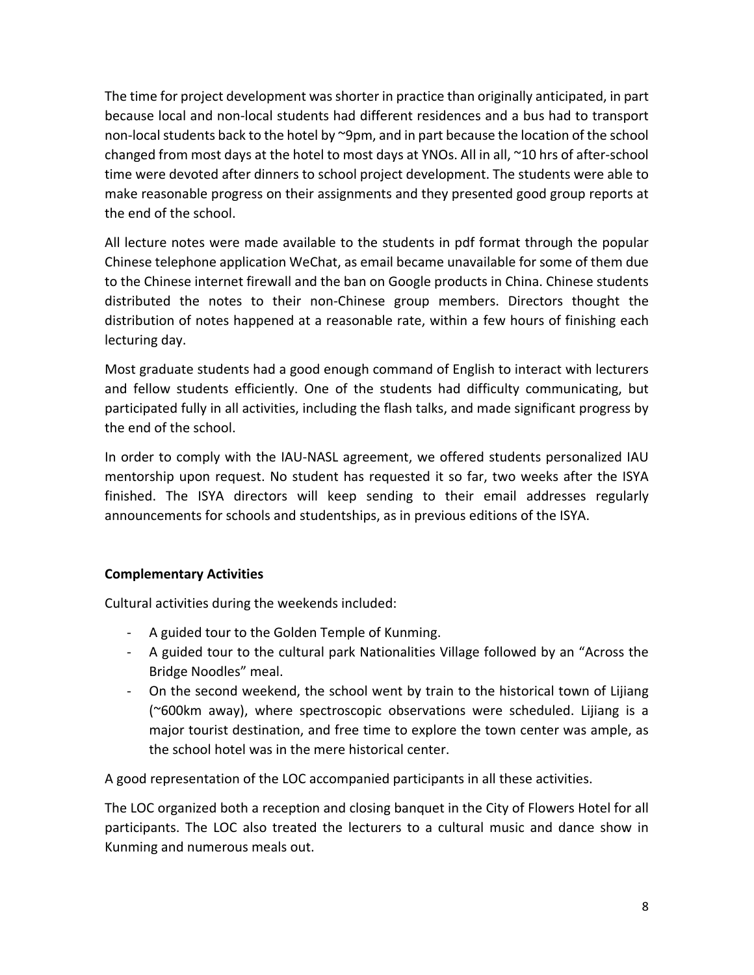The time for project development was shorter in practice than originally anticipated, in part because local and non-local students had different residences and a bus had to transport non-local students back to the hotel by ~9pm, and in part because the location of the school changed from most days at the hotel to most days at YNOs. All in all, ~10 hrs of after-school time were devoted after dinners to school project development. The students were able to make reasonable progress on their assignments and they presented good group reports at the end of the school.

All lecture notes were made available to the students in pdf format through the popular Chinese telephone application WeChat, as email became unavailable for some of them due to the Chinese internet firewall and the ban on Google products in China. Chinese students distributed the notes to their non-Chinese group members. Directors thought the distribution of notes happened at a reasonable rate, within a few hours of finishing each lecturing day.

Most graduate students had a good enough command of English to interact with lecturers and fellow students efficiently. One of the students had difficulty communicating, but participated fully in all activities, including the flash talks, and made significant progress by the end of the school.

In order to comply with the IAU-NASL agreement, we offered students personalized IAU mentorship upon request. No student has requested it so far, two weeks after the ISYA finished. The ISYA directors will keep sending to their email addresses regularly announcements for schools and studentships, as in previous editions of the ISYA.

# **Complementary Activities**

Cultural activities during the weekends included:

- A guided tour to the Golden Temple of Kunming.
- A guided tour to the cultural park Nationalities Village followed by an "Across the Bridge Noodles" meal.
- On the second weekend, the school went by train to the historical town of Lijiang (~600km away), where spectroscopic observations were scheduled. Lijiang is a major tourist destination, and free time to explore the town center was ample, as the school hotel was in the mere historical center.

A good representation of the LOC accompanied participants in all these activities.

The LOC organized both a reception and closing banquet in the City of Flowers Hotel for all participants. The LOC also treated the lecturers to a cultural music and dance show in Kunming and numerous meals out.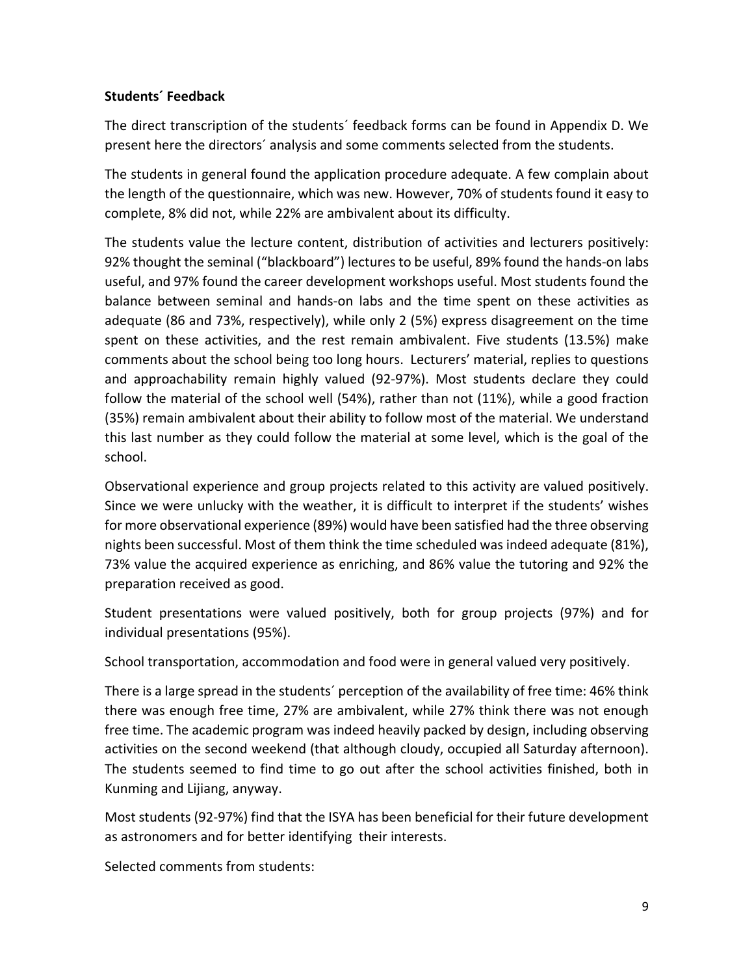### **Students´ Feedback**

The direct transcription of the students´ feedback forms can be found in Appendix D. We present here the directors´ analysis and some comments selected from the students.

The students in general found the application procedure adequate. A few complain about the length of the questionnaire, which was new. However, 70% of students found it easy to complete, 8% did not, while 22% are ambivalent about its difficulty.

The students value the lecture content, distribution of activities and lecturers positively: 92% thought the seminal ("blackboard") lectures to be useful, 89% found the hands-on labs useful, and 97% found the career development workshops useful. Most students found the balance between seminal and hands-on labs and the time spent on these activities as adequate (86 and 73%, respectively), while only 2 (5%) express disagreement on the time spent on these activities, and the rest remain ambivalent. Five students (13.5%) make comments about the school being too long hours. Lecturers' material, replies to questions and approachability remain highly valued (92-97%). Most students declare they could follow the material of the school well (54%), rather than not (11%), while a good fraction (35%) remain ambivalent about their ability to follow most of the material. We understand this last number as they could follow the material at some level, which is the goal of the school.

Observational experience and group projects related to this activity are valued positively. Since we were unlucky with the weather, it is difficult to interpret if the students' wishes for more observational experience (89%) would have been satisfied had the three observing nights been successful. Most of them think the time scheduled was indeed adequate (81%), 73% value the acquired experience as enriching, and 86% value the tutoring and 92% the preparation received as good.

Student presentations were valued positively, both for group projects (97%) and for individual presentations (95%).

School transportation, accommodation and food were in general valued very positively.

There is a large spread in the students´ perception of the availability of free time: 46% think there was enough free time, 27% are ambivalent, while 27% think there was not enough free time. The academic program was indeed heavily packed by design, including observing activities on the second weekend (that although cloudy, occupied all Saturday afternoon). The students seemed to find time to go out after the school activities finished, both in Kunming and Lijiang, anyway.

Most students (92-97%) find that the ISYA has been beneficial for their future development as astronomers and for better identifying their interests.

Selected comments from students: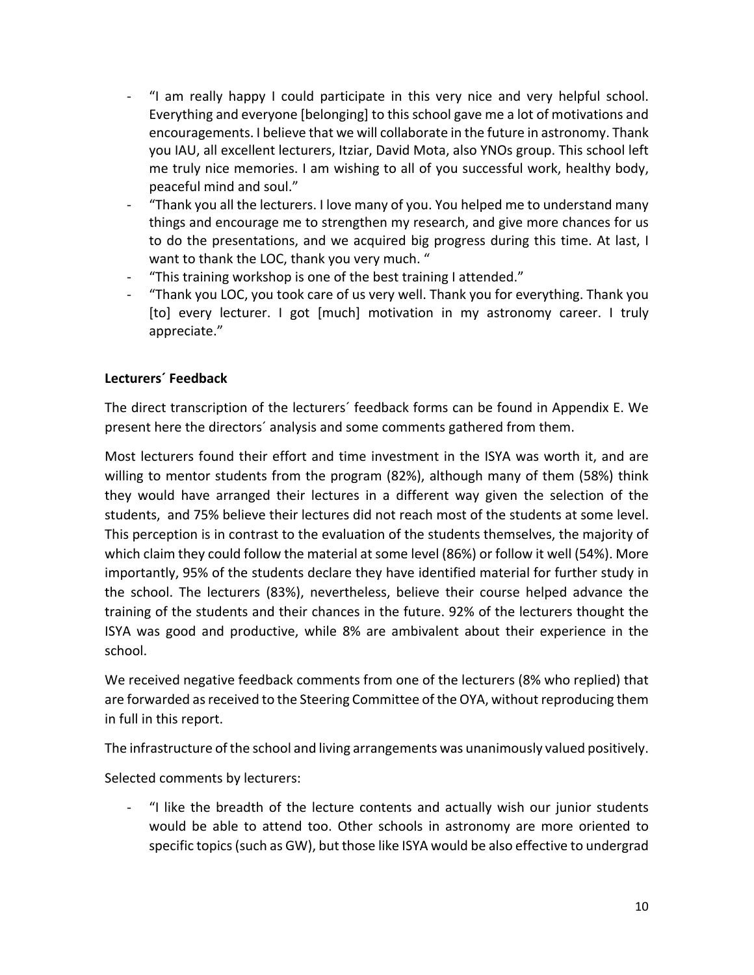- "I am really happy I could participate in this very nice and very helpful school. Everything and everyone [belonging] to this school gave me a lot of motivations and encouragements. I believe that we will collaborate in the future in astronomy. Thank you IAU, all excellent lecturers, Itziar, David Mota, also YNOs group. This school left me truly nice memories. I am wishing to all of you successful work, healthy body, peaceful mind and soul."
- "Thank you all the lecturers. I love many of you. You helped me to understand many things and encourage me to strengthen my research, and give more chances for us to do the presentations, and we acquired big progress during this time. At last, I want to thank the LOC, thank you very much. "
- "This training workshop is one of the best training I attended."
- "Thank you LOC, you took care of us very well. Thank you for everything. Thank you [to] every lecturer. I got [much] motivation in my astronomy career. I truly appreciate."

# **Lecturers´ Feedback**

The direct transcription of the lecturers´ feedback forms can be found in Appendix E. We present here the directors´ analysis and some comments gathered from them.

Most lecturers found their effort and time investment in the ISYA was worth it, and are willing to mentor students from the program (82%), although many of them (58%) think they would have arranged their lectures in a different way given the selection of the students, and 75% believe their lectures did not reach most of the students at some level. This perception is in contrast to the evaluation of the students themselves, the majority of which claim they could follow the material at some level (86%) or follow it well (54%). More importantly, 95% of the students declare they have identified material for further study in the school. The lecturers (83%), nevertheless, believe their course helped advance the training of the students and their chances in the future. 92% of the lecturers thought the ISYA was good and productive, while 8% are ambivalent about their experience in the school.

We received negative feedback comments from one of the lecturers (8% who replied) that are forwarded as received to the Steering Committee of the OYA, without reproducing them in full in this report.

The infrastructure of the school and living arrangements was unanimously valued positively.

Selected comments by lecturers:

- "I like the breadth of the lecture contents and actually wish our junior students would be able to attend too. Other schools in astronomy are more oriented to specific topics (such as GW), but those like ISYA would be also effective to undergrad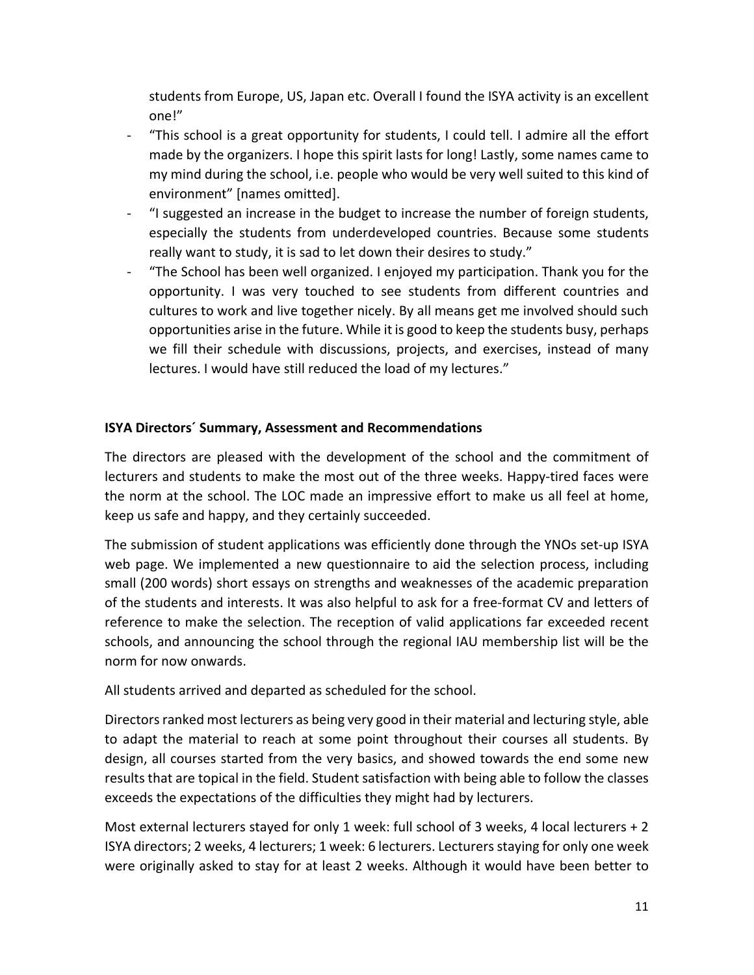students from Europe, US, Japan etc. Overall I found the ISYA activity is an excellent one!"

- "This school is a great opportunity for students, I could tell. I admire all the effort made by the organizers. I hope this spirit lasts for long! Lastly, some names came to my mind during the school, i.e. people who would be very well suited to this kind of environment" [names omitted].
- "I suggested an increase in the budget to increase the number of foreign students, especially the students from underdeveloped countries. Because some students really want to study, it is sad to let down their desires to study."
- "The School has been well organized. I enjoyed my participation. Thank you for the opportunity. I was very touched to see students from different countries and cultures to work and live together nicely. By all means get me involved should such opportunities arise in the future. While it is good to keep the students busy, perhaps we fill their schedule with discussions, projects, and exercises, instead of many lectures. I would have still reduced the load of my lectures."

# **ISYA Directors´ Summary, Assessment and Recommendations**

The directors are pleased with the development of the school and the commitment of lecturers and students to make the most out of the three weeks. Happy-tired faces were the norm at the school. The LOC made an impressive effort to make us all feel at home, keep us safe and happy, and they certainly succeeded.

The submission of student applications was efficiently done through the YNOs set-up ISYA web page. We implemented a new questionnaire to aid the selection process, including small (200 words) short essays on strengths and weaknesses of the academic preparation of the students and interests. It was also helpful to ask for a free-format CV and letters of reference to make the selection. The reception of valid applications far exceeded recent schools, and announcing the school through the regional IAU membership list will be the norm for now onwards.

All students arrived and departed as scheduled for the school.

Directors ranked most lecturers as being very good in their material and lecturing style, able to adapt the material to reach at some point throughout their courses all students. By design, all courses started from the very basics, and showed towards the end some new results that are topical in the field. Student satisfaction with being able to follow the classes exceeds the expectations of the difficulties they might had by lecturers.

Most external lecturers stayed for only 1 week: full school of 3 weeks, 4 local lecturers + 2 ISYA directors; 2 weeks, 4 lecturers; 1 week: 6 lecturers. Lecturers staying for only one week were originally asked to stay for at least 2 weeks. Although it would have been better to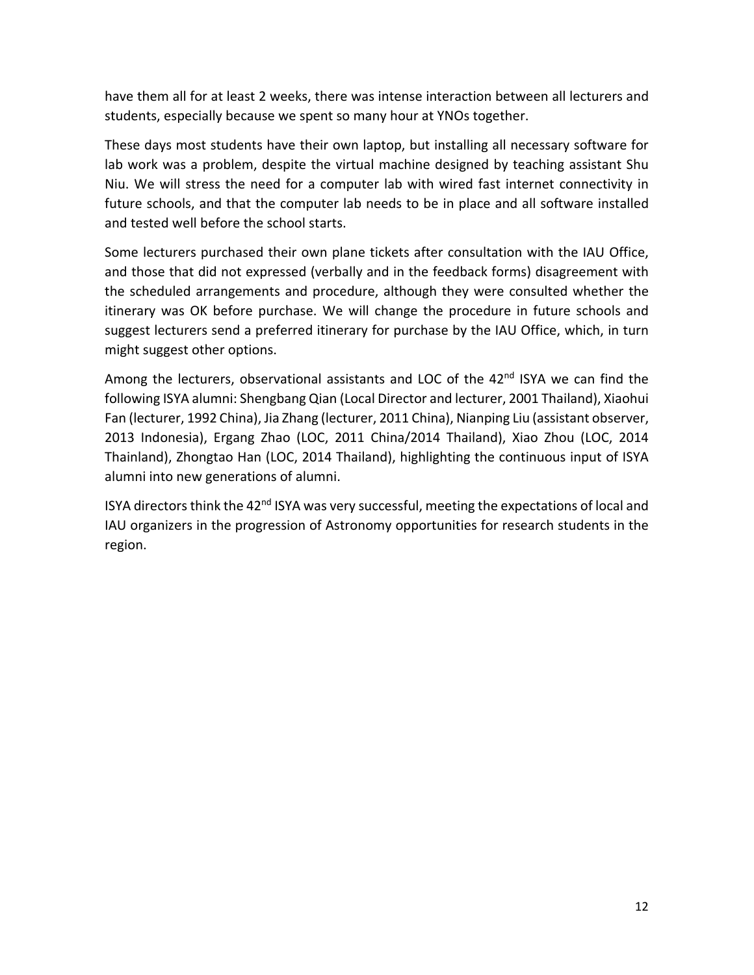have them all for at least 2 weeks, there was intense interaction between all lecturers and students, especially because we spent so many hour at YNOs together.

These days most students have their own laptop, but installing all necessary software for lab work was a problem, despite the virtual machine designed by teaching assistant Shu Niu. We will stress the need for a computer lab with wired fast internet connectivity in future schools, and that the computer lab needs to be in place and all software installed and tested well before the school starts.

Some lecturers purchased their own plane tickets after consultation with the IAU Office, and those that did not expressed (verbally and in the feedback forms) disagreement with the scheduled arrangements and procedure, although they were consulted whether the itinerary was OK before purchase. We will change the procedure in future schools and suggest lecturers send a preferred itinerary for purchase by the IAU Office, which, in turn might suggest other options.

Among the lecturers, observational assistants and LOC of the 42<sup>nd</sup> ISYA we can find the following ISYA alumni: Shengbang Qian (Local Director and lecturer, 2001 Thailand), Xiaohui Fan (lecturer, 1992 China), Jia Zhang (lecturer, 2011 China), Nianping Liu (assistant observer, 2013 Indonesia), Ergang Zhao (LOC, 2011 China/2014 Thailand), Xiao Zhou (LOC, 2014 Thainland), Zhongtao Han (LOC, 2014 Thailand), highlighting the continuous input of ISYA alumni into new generations of alumni.

ISYA directors think the 42<sup>nd</sup> ISYA was very successful, meeting the expectations of local and IAU organizers in the progression of Astronomy opportunities for research students in the region.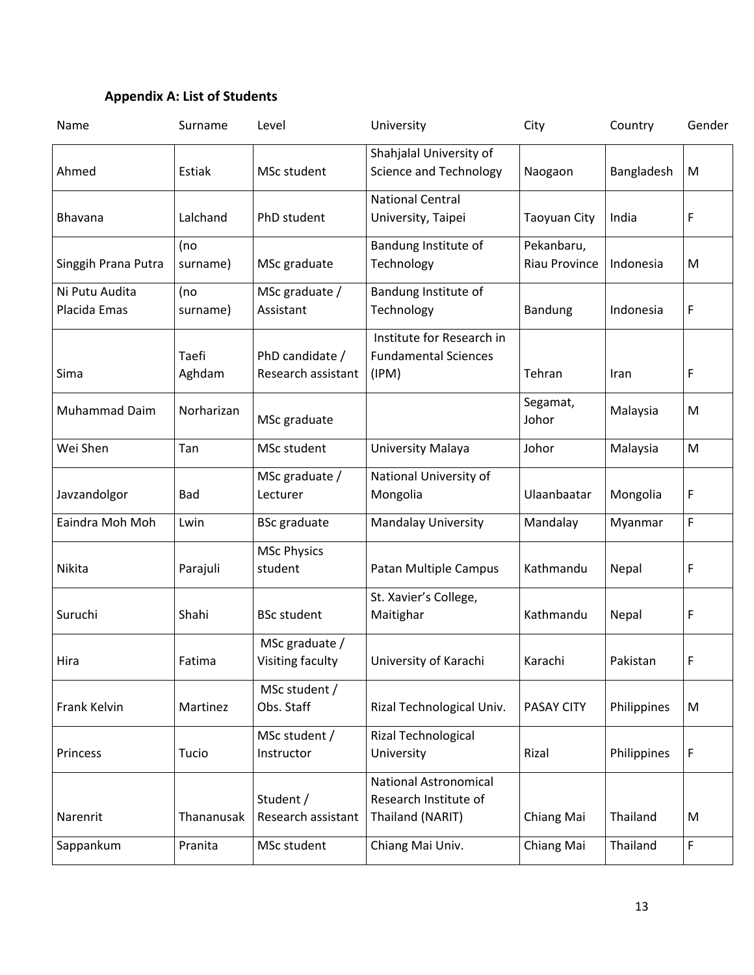# **Appendix A: List of Students**

| Name                           | Surname         | Level                                 | University                                                                | City                               | Country     | Gender |
|--------------------------------|-----------------|---------------------------------------|---------------------------------------------------------------------------|------------------------------------|-------------|--------|
| Ahmed                          | Estiak          | MSc student                           | Shahjalal University of<br><b>Science and Technology</b>                  | Naogaon                            | Bangladesh  | M      |
| Bhavana                        | Lalchand        | PhD student                           | <b>National Central</b><br>University, Taipei                             | <b>Taoyuan City</b>                | India       | F      |
| Singgih Prana Putra            | (no<br>surname) | MSc graduate                          | Bandung Institute of<br>Technology                                        | Pekanbaru,<br><b>Riau Province</b> | Indonesia   | M      |
| Ni Putu Audita<br>Placida Emas | (no<br>surname) | MSc graduate /<br>Assistant           | Bandung Institute of<br>Technology                                        | <b>Bandung</b>                     | Indonesia   | F      |
| Sima                           | Taefi<br>Aghdam | PhD candidate /<br>Research assistant | Institute for Research in<br><b>Fundamental Sciences</b><br>(IPM)         | Tehran                             | Iran        | F      |
| Muhammad Daim                  | Norharizan      | MSc graduate                          |                                                                           | Segamat,<br>Johor                  | Malaysia    | M      |
| Wei Shen                       | Tan             | MSc student                           | University Malaya                                                         | Johor                              | Malaysia    | M      |
| Javzandolgor                   | Bad             | MSc graduate /<br>Lecturer            | National University of<br>Mongolia                                        | Ulaanbaatar                        | Mongolia    | F      |
| Eaindra Moh Moh                | Lwin            | <b>BSc</b> graduate                   | <b>Mandalay University</b>                                                | Mandalay                           | Myanmar     | F      |
| Nikita                         | Parajuli        | <b>MSc Physics</b><br>student         | Patan Multiple Campus                                                     | Kathmandu                          | Nepal       | F      |
| Suruchi                        | Shahi           | <b>BSc student</b>                    | St. Xavier's College,<br>Maitighar                                        | Kathmandu                          | Nepal       | F      |
| Hira                           | Fatima          | MSc graduate /<br>Visiting faculty    | University of Karachi                                                     | Karachi                            | Pakistan    | F      |
| Frank Kelvin                   | Martinez        | MSc student /<br>Obs. Staff           | Rizal Technological Univ.                                                 | <b>PASAY CITY</b>                  | Philippines | M      |
| Princess                       | Tucio           | MSc student /<br>Instructor           | Rizal Technological<br>University                                         | Rizal                              | Philippines | F      |
| Narenrit                       | Thananusak      | Student /<br>Research assistant       | <b>National Astronomical</b><br>Research Institute of<br>Thailand (NARIT) | Chiang Mai                         | Thailand    | M      |
| Sappankum                      | Pranita         | MSc student                           | Chiang Mai Univ.                                                          | Chiang Mai                         | Thailand    | F      |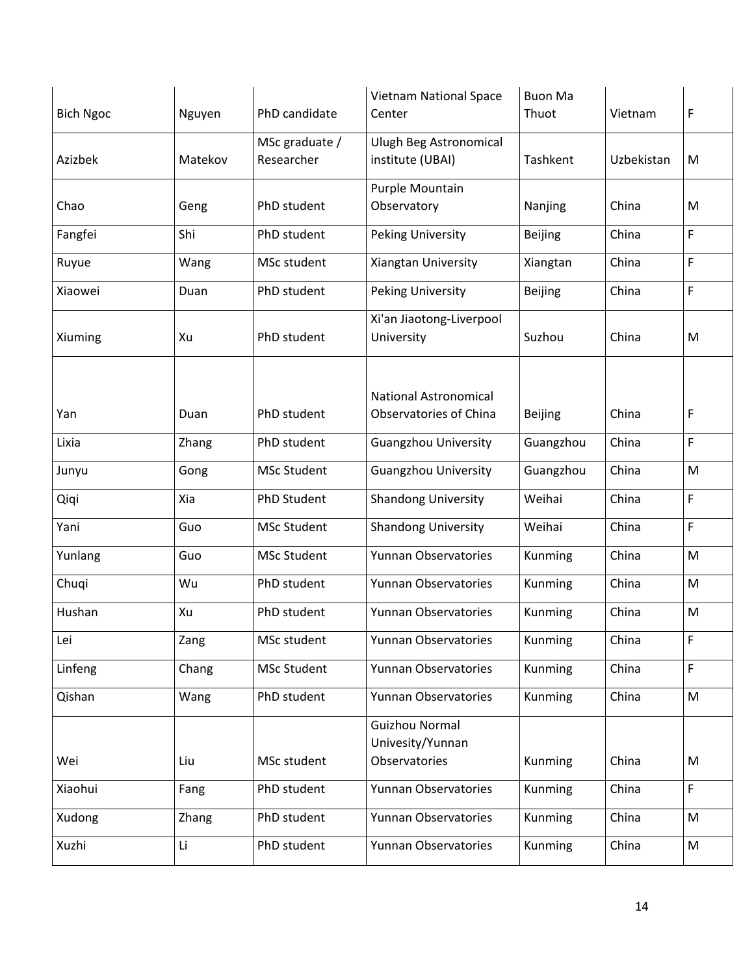| <b>Bich Ngoc</b> | Nguyen  | PhD candidate                | <b>Vietnam National Space</b><br>Center    | <b>Buon Ma</b><br>Thuot | Vietnam    | F         |
|------------------|---------|------------------------------|--------------------------------------------|-------------------------|------------|-----------|
|                  |         |                              |                                            |                         |            |           |
| Azizbek          | Matekov | MSc graduate /<br>Researcher | Ulugh Beg Astronomical<br>institute (UBAI) | Tashkent                | Uzbekistan | M         |
|                  |         |                              | Purple Mountain                            |                         |            |           |
| Chao             | Geng    | PhD student                  | Observatory                                | Nanjing                 | China      | M         |
| Fangfei          | Shi     | PhD student                  | Peking University                          | <b>Beijing</b>          | China      | F         |
| Ruyue            | Wang    | MSc student                  | Xiangtan University                        | Xiangtan                | China      | F         |
| Xiaowei          | Duan    | PhD student                  | Peking University                          | Beijing                 | China      | F         |
|                  |         |                              | Xi'an Jiaotong-Liverpool                   |                         |            |           |
| Xiuming          | Xu      | PhD student                  | University                                 | Suzhou                  | China      | M         |
|                  |         |                              |                                            |                         |            |           |
|                  |         |                              | <b>National Astronomical</b>               |                         |            |           |
| Yan              | Duan    | PhD student                  | <b>Observatories of China</b>              | <b>Beijing</b>          | China      | F         |
| Lixia            | Zhang   | PhD student                  | <b>Guangzhou University</b>                | Guangzhou               | China      | F         |
| Junyu            | Gong    | <b>MSc Student</b>           | <b>Guangzhou University</b>                | Guangzhou               | China      | ${\sf M}$ |
| Qiqi             | Xia     | PhD Student                  | <b>Shandong University</b>                 | Weihai                  | China      | F         |
| Yani             | Guo     | <b>MSc Student</b>           | <b>Shandong University</b>                 | Weihai                  | China      | F         |
| Yunlang          | Guo     | <b>MSc Student</b>           | Yunnan Observatories                       | Kunming                 | China      | ${\sf M}$ |
| Chuqi            | Wu      | PhD student                  | Yunnan Observatories                       | Kunming                 | China      | M         |
| Hushan           | Xu      | PhD student                  | Yunnan Observatories                       | Kunming                 | China      | ${\sf M}$ |
| Lei              | Zang    | MSc student                  | Yunnan Observatories                       | Kunming                 | China      | F         |
| Linfeng          | Chang   | <b>MSc Student</b>           | Yunnan Observatories                       | Kunming                 | China      | F         |
| Qishan           | Wang    | PhD student                  | Yunnan Observatories                       | Kunming                 | China      | M         |
|                  |         |                              | <b>Guizhou Normal</b>                      |                         |            |           |
|                  |         |                              | Univesity/Yunnan                           |                         |            |           |
| Wei              | Liu     | MSc student                  | Observatories                              | Kunming                 | China      | M         |
| Xiaohui          | Fang    | PhD student                  | Yunnan Observatories                       | Kunming                 | China      | F         |
| Xudong           | Zhang   | PhD student                  | Yunnan Observatories                       | Kunming                 | China      | M         |
| Xuzhi            | Li      | PhD student                  | Yunnan Observatories                       | Kunming                 | China      | M         |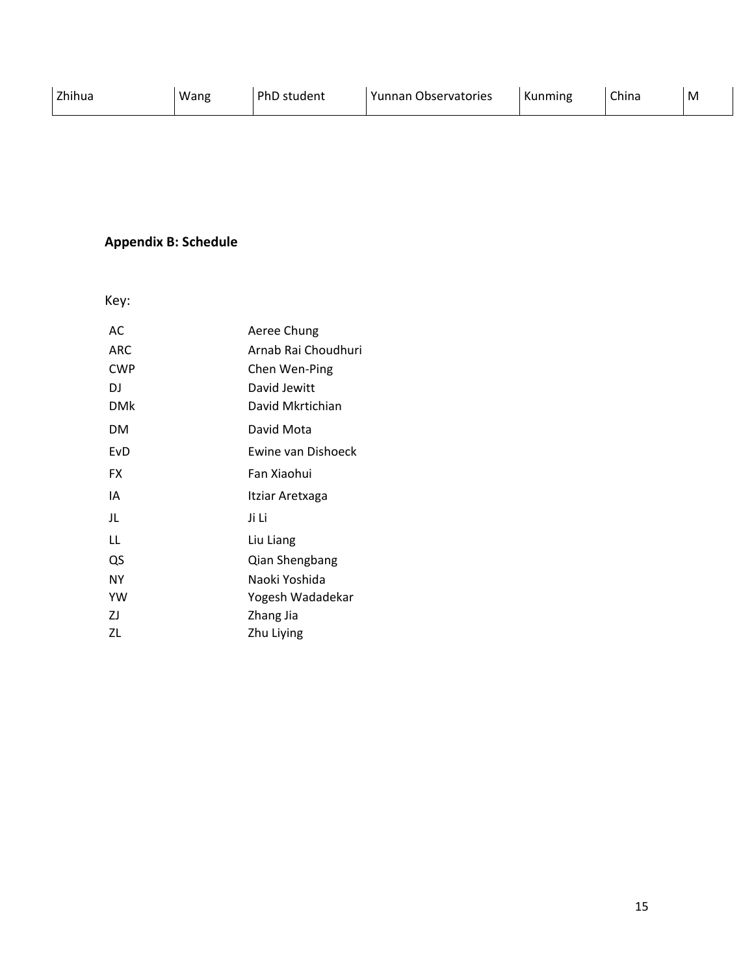# **Appendix B: Schedule**

Key:

| AC.        | Aeree Chung         |
|------------|---------------------|
| <b>ARC</b> | Arnab Rai Choudhuri |
| <b>CWP</b> | Chen Wen-Ping       |
| DJ         | David Jewitt        |
| DMk        | David Mkrtichian    |
| <b>DM</b>  | David Mota          |
| EvD        | Ewine van Dishoeck  |
| FX         | Fan Xiaohui         |
| ΙA         | Itziar Aretxaga     |
| JL         | Ji Li               |
| LL         | Liu Liang           |
| QS         | Qian Shengbang      |
| ΝY         | Naoki Yoshida       |
| YW         | Yogesh Wadadekar    |
| ZJ         | Zhang Jia           |
| ΖL         | Zhu Liying          |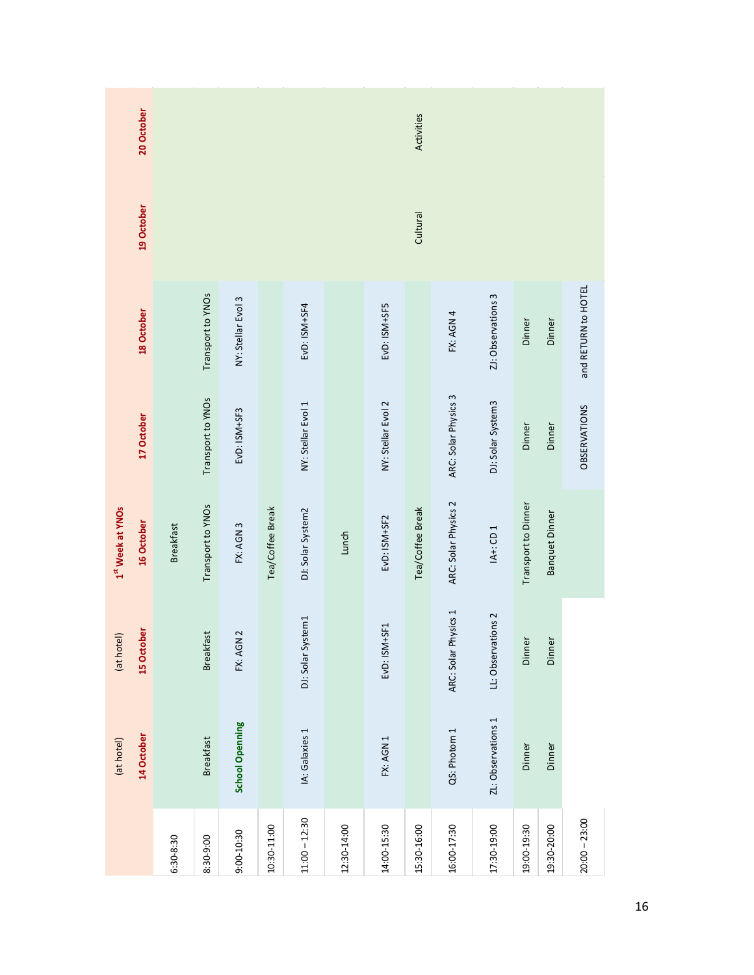| 20 October                     | Activities       |                   |                    |                  |                    |             |                    |                  |                      |                    |                     |                       |                     |  |
|--------------------------------|------------------|-------------------|--------------------|------------------|--------------------|-------------|--------------------|------------------|----------------------|--------------------|---------------------|-----------------------|---------------------|--|
|                                |                  |                   |                    |                  |                    |             |                    |                  |                      |                    |                     |                       |                     |  |
| 19 October                     |                  |                   |                    |                  |                    | Cultural    |                    |                  |                      |                    |                     |                       |                     |  |
| 18 October                     |                  | Transport to YNOs | NY: Stellar Evol 3 |                  | EvD: ISM+SF4       |             | EvD: ISM+SF5       |                  | FX: AGN 4            | ZI: Observations 3 | Dinner              | Dinner                | and RETURN to HOTEL |  |
| 17 October                     |                  | Transport to YNOs | EvD: ISM+SF3       |                  | NY: Stellar Evol 1 |             | NY: Stellar Evol 2 |                  | ARC: Solar Physics 3 | DJ: Solar System3  | Dinner              | Dinner                | <b>OBSERVATIONS</b> |  |
| 1st Week at YNOs<br>16 October | <b>Breakfast</b> | Transport to YNOs | FX: AGN 3          | Tea/Coffee Break | DJ: Solar System2  | Lunch       | EVD: ISM+SF2       | Tea/Coffee Break | ARC: Solar Physics 2 | $IA +$ : CD 1      | Transport to Dinner | <b>Banquet Dinner</b> |                     |  |
| 15 October<br>(at hotel)       |                  | <b>Breakfast</b>  | FX: AGN 2          |                  | DJ: Solar System1  |             | EvD: ISM+SF1       |                  | ARC: Solar Physics 1 | LL: Observations 2 | Dinner              | Dinner                |                     |  |
| 14 October<br>(at hotel)       |                  | <b>Breakfast</b>  | School Openning    |                  | IA: Galaxies 1     |             | FX: AGN 1          |                  | QS: Photom 1         | ZL: Observations 1 | Dinner              | Dinner                |                     |  |
|                                | 6:30-8:30        | 8:30-9:00         | 9:00-10:30         | 10:30-11:00      | $11:00 - 12:30$    | 12:30-14:00 | 14:00-15:30        | 15:30-16:00      | 16:00-17:30          | 17:30-19:00        | 19:00-19:30         | 19:30-20:00           | $20:00 - 23:00$     |  |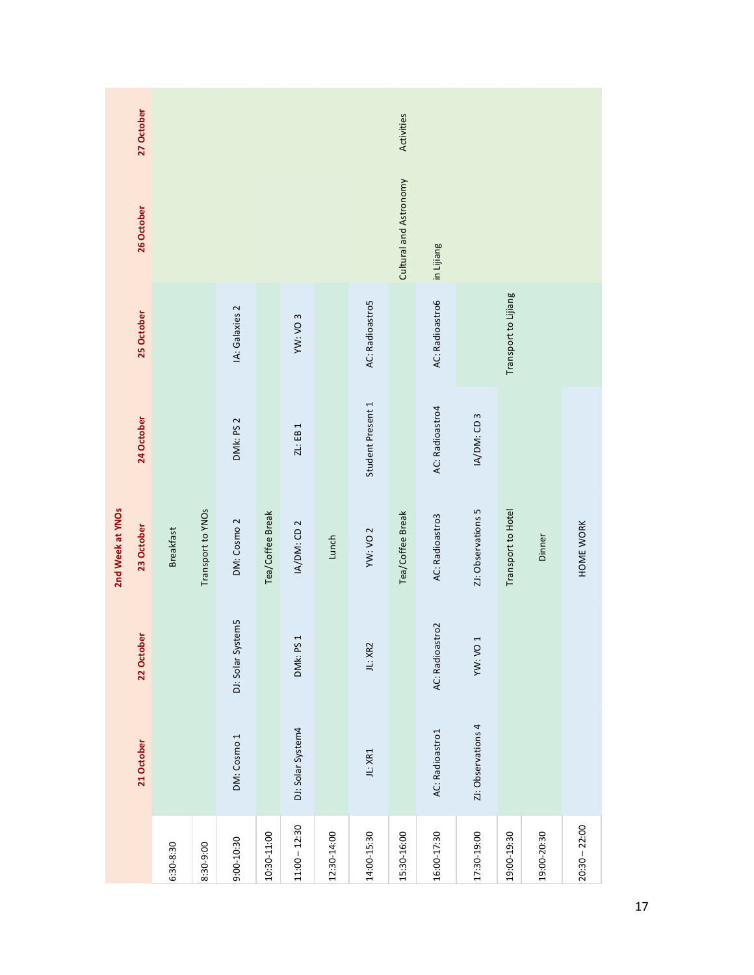| 27 October                     |                  |                                      |                   |                  |                   |             |                     | Activities       |                 |                     |                      |             |                 |  |  |  |
|--------------------------------|------------------|--------------------------------------|-------------------|------------------|-------------------|-------------|---------------------|------------------|-----------------|---------------------|----------------------|-------------|-----------------|--|--|--|
| 26 October                     |                  | Cultural and Astronomy<br>in Lijiang |                   |                  |                   |             |                     |                  |                 |                     |                      |             |                 |  |  |  |
| 25 October                     |                  |                                      | IA: Galaxies 2    |                  | YW: VO 3          |             | AC: Radioastro5     |                  | AC: Radioastro6 |                     | Transport to Lijiang |             |                 |  |  |  |
| 24 October                     |                  |                                      | DMk: PS 2         |                  | ZL: EB 1          |             | Student Present 1   |                  | AC: Radioastro4 | IA/DM: CD 3         |                      |             |                 |  |  |  |
| 2nd Week at YNOs<br>23 October | <b>Breakfast</b> | Transport to YNOs                    | DM: Cosmo 2       | Tea/Coffee Break | IA/DM: CD 2       | Lunch       | YW: VO <sub>2</sub> | Tea/Coffee Break | AC: Radioastro3 | ZI: Observations 5  | Transport to Hotel   | Dinner      | HOME WORK       |  |  |  |
| 22 October                     |                  |                                      | DJ: Solar System5 |                  | DMk: PS 1         |             | JL: XR2             |                  | AC: Radioastro2 | YW: VO <sub>1</sub> |                      |             |                 |  |  |  |
| 21 October                     |                  |                                      | DM: Cosmo 1       |                  | DJ: Solar System4 |             | JL: XR1             |                  | AC: Radioastro1 | ZI: Observations 4  |                      |             |                 |  |  |  |
|                                | $6:30 - 8:30$    | 8:30-9:00                            | 9:00-10:30        | 10:30-11:00      | $11:00 - 12:30$   | 12:30-14:00 | 14:00-15:30         | 15:30-16:00      | 16:00-17:30     | 17:30-19:00         | 19:00-19:30          | 19:00-20:30 | $20:30 - 22:00$ |  |  |  |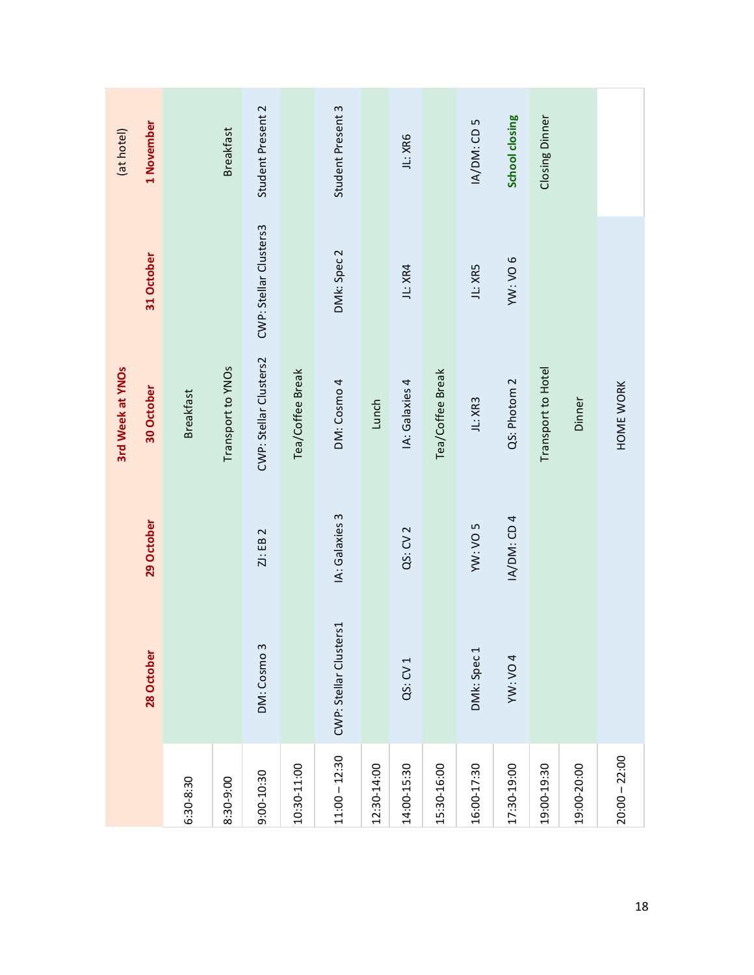| 1 November<br>(at hotel)<br>31 October |                  | <b>Breakfast</b>  | Student Present 2<br>CWP: Stellar Clusters3 |                  | Student Present 3<br>DMk: Spec 2 |             | JL: XR6<br>JL: XR4  |                  | IA/DM: CD 5<br>JL: XR5 | School closing<br>YW: VO 6 | Closing Dinner     |             |                 |
|----------------------------------------|------------------|-------------------|---------------------------------------------|------------------|----------------------------------|-------------|---------------------|------------------|------------------------|----------------------------|--------------------|-------------|-----------------|
| 3rd Week at YNOs<br>30 October         | <b>Breakfast</b> | Transport to YNOs | CWP: Stellar Clusters2                      | Tea/Coffee Break | DM: Cosmo 4                      | Lunch       | IA: Galaxies 4      | Tea/Coffee Break | JL: XR3                | QS: Photom 2               | Transport to Hotel | Dinner      | HOME WORK       |
| 29 October                             |                  |                   | ZJ: EB 2                                    |                  | IA: Galaxies 3                   |             | QS: CV <sub>2</sub> |                  | YW: VO 5               | IA/DM: CD 4                |                    |             |                 |
| 28 October                             |                  |                   | DM: Cosmo 3                                 |                  | CWP: Stellar Clusters1           |             | QS: CV 1            |                  | DMk: Spec 1            | <b>YW: VO 4</b>            |                    |             |                 |
|                                        | 6:30-8:30        | 8:30-9:00         | 9:00-10:30                                  | 10:30-11:00      | $11:00 - 12:30$                  | 12:30-14:00 | 14:00-15:30         | 15:30-16:00      | 16:00-17:30            | 17:30-19:00                | 19:00-19:30        | 19:00-20:00 | $20:00 - 22:00$ |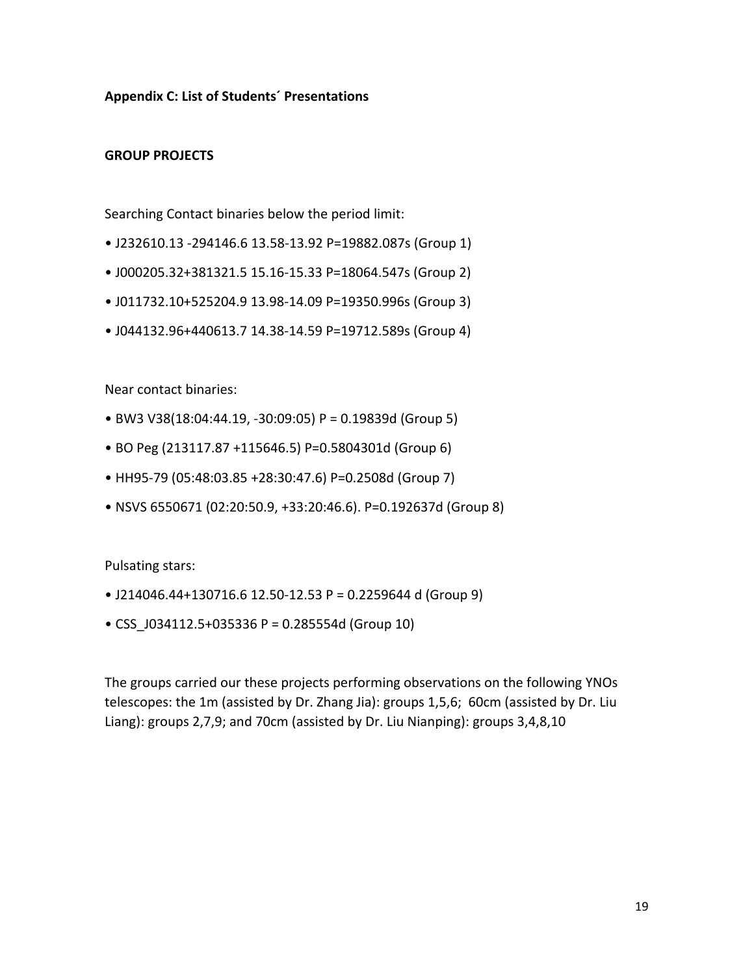**Appendix C: List of Students´ Presentations**

#### **GROUP PROJECTS**

Searching Contact binaries below the period limit:

- J232610.13 -294146.6 13.58-13.92 P=19882.087s (Group 1)
- J000205.32+381321.5 15.16-15.33 P=18064.547s (Group 2)
- J011732.10+525204.9 13.98-14.09 P=19350.996s (Group 3)
- J044132.96+440613.7 14.38-14.59 P=19712.589s (Group 4)

Near contact binaries:

- BW3 V38(18:04:44.19, -30:09:05) P = 0.19839d (Group 5)
- BO Peg (213117.87 +115646.5) P=0.5804301d (Group 6)
- HH95-79 (05:48:03.85 +28:30:47.6) P=0.2508d (Group 7)
- NSVS 6550671 (02:20:50.9, +33:20:46.6). P=0.192637d (Group 8)

Pulsating stars:

- J214046.44+130716.6 12.50-12.53 P = 0.2259644 d (Group 9)
- CSS\_J034112.5+035336 P = 0.285554d (Group 10)

The groups carried our these projects performing observations on the following YNOs telescopes: the 1m (assisted by Dr. Zhang Jia): groups 1,5,6; 60cm (assisted by Dr. Liu Liang): groups 2,7,9; and 70cm (assisted by Dr. Liu Nianping): groups 3,4,8,10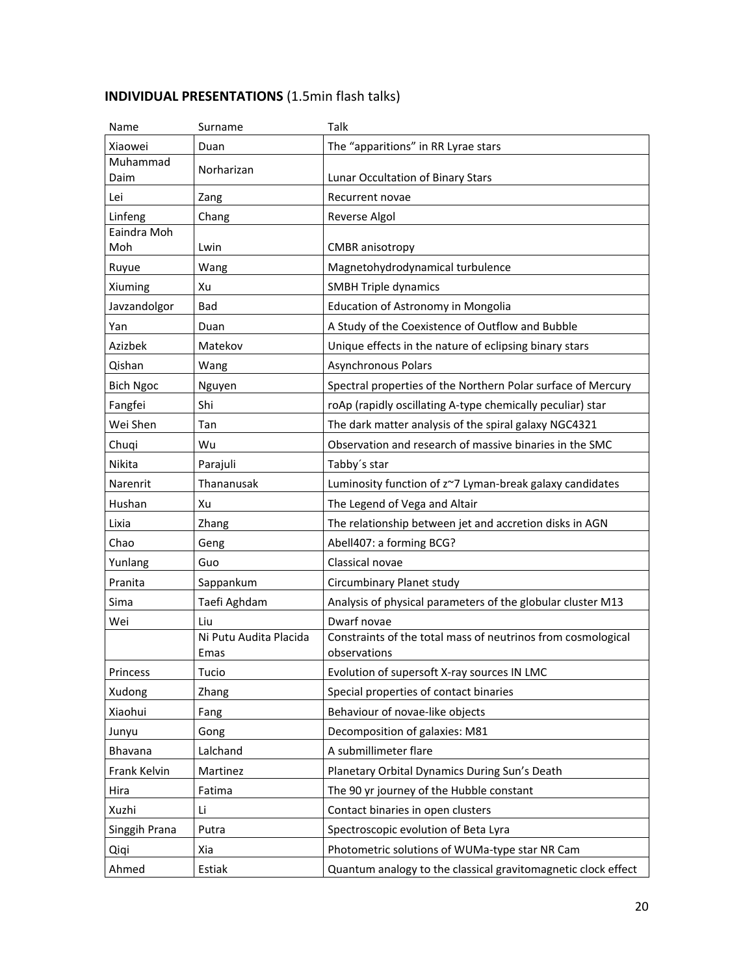# **INDIVIDUAL PRESENTATIONS** (1.5min flash talks)

| Name             | Surname                        | Talk                                                                         |
|------------------|--------------------------------|------------------------------------------------------------------------------|
| Xiaowei          | Duan                           | The "apparitions" in RR Lyrae stars                                          |
| Muhammad<br>Daim | Norharizan                     | Lunar Occultation of Binary Stars                                            |
| Lei              | Zang                           | Recurrent novae                                                              |
| Linfeng          | Chang                          | Reverse Algol                                                                |
| Eaindra Moh      |                                |                                                                              |
| Moh              | Lwin                           | <b>CMBR</b> anisotropy                                                       |
| Ruyue            | Wang                           | Magnetohydrodynamical turbulence                                             |
| Xiuming          | Xu                             | <b>SMBH Triple dynamics</b>                                                  |
| Javzandolgor     | Bad                            | Education of Astronomy in Mongolia                                           |
| Yan              | Duan                           | A Study of the Coexistence of Outflow and Bubble                             |
| Azizbek          | Matekov                        | Unique effects in the nature of eclipsing binary stars                       |
| Qishan           | Wang                           | Asynchronous Polars                                                          |
| <b>Bich Ngoc</b> | Nguyen                         | Spectral properties of the Northern Polar surface of Mercury                 |
| Fangfei          | Shi                            | roAp (rapidly oscillating A-type chemically peculiar) star                   |
| Wei Shen         | Tan                            | The dark matter analysis of the spiral galaxy NGC4321                        |
| Chuqi            | Wu                             | Observation and research of massive binaries in the SMC                      |
| Nikita           | Parajuli                       | Tabby's star                                                                 |
| Narenrit         | Thananusak                     | Luminosity function of z~7 Lyman-break galaxy candidates                     |
| Hushan           | Xu                             | The Legend of Vega and Altair                                                |
| Lixia            | Zhang                          | The relationship between jet and accretion disks in AGN                      |
| Chao             | Geng                           | Abell407: a forming BCG?                                                     |
| Yunlang          | Guo                            | Classical novae                                                              |
| Pranita          | Sappankum                      | Circumbinary Planet study                                                    |
| Sima             | Taefi Aghdam                   | Analysis of physical parameters of the globular cluster M13                  |
| Wei              | Liu                            | Dwarf novae                                                                  |
|                  | Ni Putu Audita Placida<br>Emas | Constraints of the total mass of neutrinos from cosmological<br>observations |
| Princess         | Tucio                          | Evolution of supersoft X-ray sources IN LMC                                  |
| Xudong           | Zhang                          | Special properties of contact binaries                                       |
| Xiaohui          | Fang                           | Behaviour of novae-like objects                                              |
| Junyu            | Gong                           | Decomposition of galaxies: M81                                               |
| <b>Bhavana</b>   | Lalchand                       | A submillimeter flare                                                        |
| Frank Kelvin     | Martinez                       | Planetary Orbital Dynamics During Sun's Death                                |
| Hira             | Fatima                         | The 90 yr journey of the Hubble constant                                     |
| Xuzhi            | Li                             | Contact binaries in open clusters                                            |
| Singgih Prana    | Putra                          | Spectroscopic evolution of Beta Lyra                                         |
| Qiqi             | Xia                            | Photometric solutions of WUMa-type star NR Cam                               |
| Ahmed            | Estiak                         | Quantum analogy to the classical gravitomagnetic clock effect                |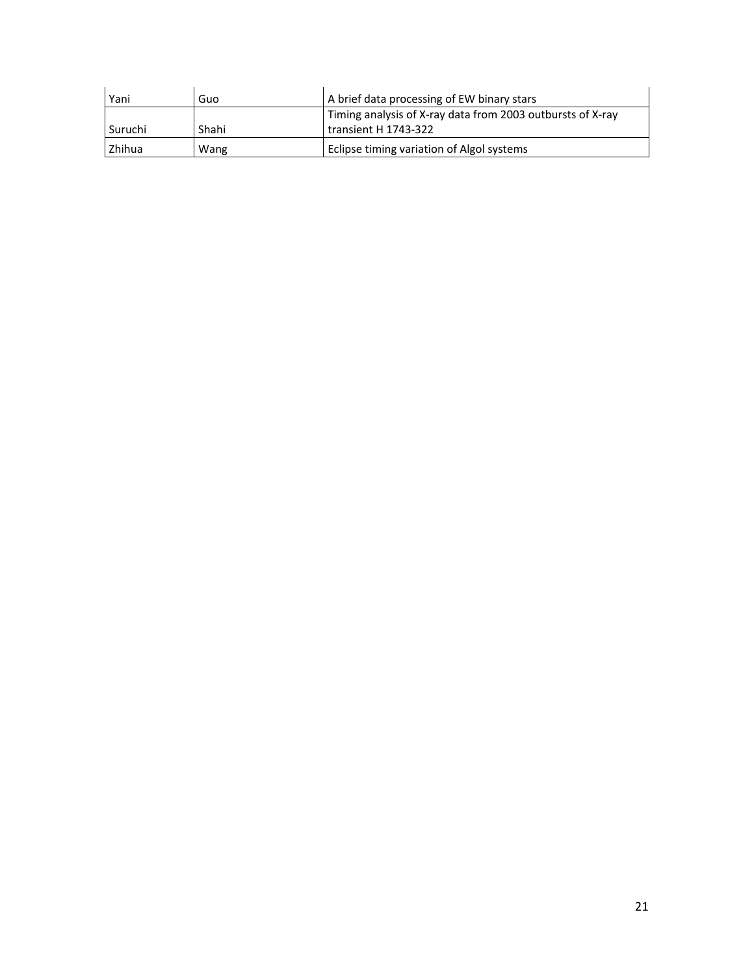| Yani      | Guo   | A brief data processing of EW binary stars                                         |
|-----------|-------|------------------------------------------------------------------------------------|
| l Suruchi | Shahi | Timing analysis of X-ray data from 2003 outbursts of X-ray<br>transient H 1743-322 |
| Zhihua    | Wang  | Eclipse timing variation of Algol systems                                          |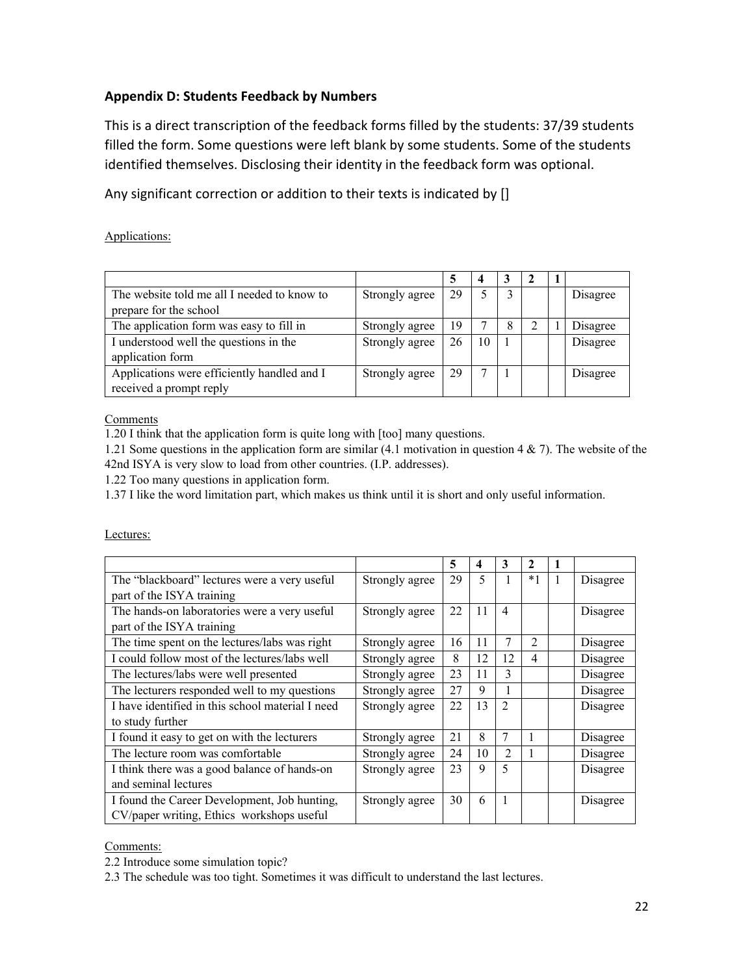## **Appendix D: Students Feedback by Numbers**

This is a direct transcription of the feedback forms filled by the students: 37/39 students filled the form. Some questions were left blank by some students. Some of the students identified themselves. Disclosing their identity in the feedback form was optional.

Any significant correction or addition to their texts is indicated by []

Applications:

| The website told me all I needed to know to | Strongly agree | 29 |              |   |  | Disagree |
|---------------------------------------------|----------------|----|--------------|---|--|----------|
| prepare for the school                      |                |    |              |   |  |          |
| The application form was easy to fill in    | Strongly agree | 19 |              | 8 |  | Disagree |
| I understood well the questions in the      | Strongly agree | 26 | 10           |   |  | Disagree |
| application form                            |                |    |              |   |  |          |
| Applications were efficiently handled and I | Strongly agree | 29 | $\mathbf{r}$ |   |  | Disagree |
| received a prompt reply                     |                |    |              |   |  |          |

Comments

1.20 I think that the application form is quite long with [too] many questions.

1.21 Some questions in the application form are similar (4.1 motivation in question 4 & 7). The website of the 42nd ISYA is very slow to load from other countries. (I.P. addresses).

1.22 Too many questions in application form.

1.37 I like the word limitation part, which makes us think until it is short and only useful information.

Lectures:

|                                                  |                | 5  | 4                        | 3              | $\mathbf{2}$   | 1            |          |
|--------------------------------------------------|----------------|----|--------------------------|----------------|----------------|--------------|----------|
| The "blackboard" lectures were a very useful     | Strongly agree | 29 | $\overline{\mathcal{L}}$ |                | $*1$           | $\mathbf{1}$ | Disagree |
| part of the ISYA training                        |                |    |                          |                |                |              |          |
| The hands-on laboratories were a very useful     | Strongly agree | 22 | 11                       | $\overline{4}$ |                |              | Disagree |
| part of the ISYA training                        |                |    |                          |                |                |              |          |
| The time spent on the lectures/labs was right    | Strongly agree | 16 | 11                       | 7              | $\mathfrak{D}$ |              | Disagree |
| I could follow most of the lectures/labs well    | Strongly agree | 8  | 12                       | 12             | 4              |              | Disagree |
| The lectures/labs were well presented            | Strongly agree | 23 | 11                       | 3              |                |              | Disagree |
| The lecturers responded well to my questions     | Strongly agree | 27 | 9                        |                |                |              | Disagree |
| I have identified in this school material I need | Strongly agree | 22 | 13                       | $\mathfrak{D}$ |                |              | Disagree |
| to study further                                 |                |    |                          |                |                |              |          |
| I found it easy to get on with the lecturers     | Strongly agree | 21 | 8                        | 7              | 1              |              | Disagree |
| The lecture room was comfortable                 | Strongly agree | 24 | 10                       | $\overline{2}$ | 1              |              | Disagree |
| I think there was a good balance of hands-on     | Strongly agree | 23 | 9                        | 5              |                |              | Disagree |
| and seminal lectures                             |                |    |                          |                |                |              |          |
| I found the Career Development, Job hunting,     | Strongly agree | 30 | 6                        | 1              |                |              | Disagree |
| CV/paper writing, Ethics workshops useful        |                |    |                          |                |                |              |          |

Comments:

2.2 Introduce some simulation topic?

2.3 The schedule was too tight. Sometimes it was difficult to understand the last lectures.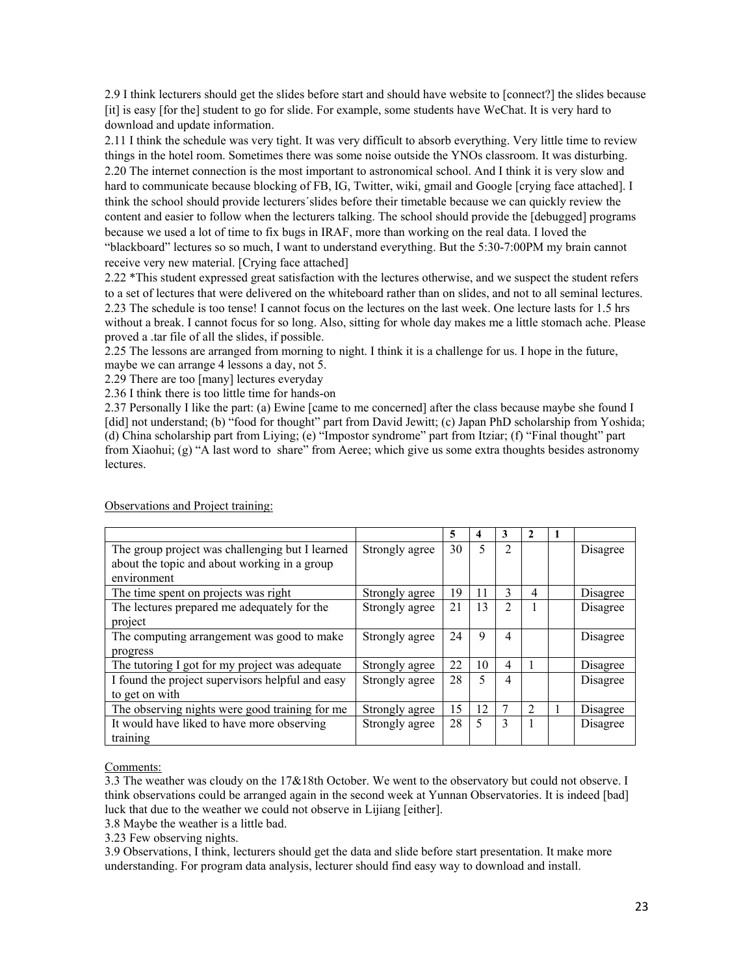2.9 I think lecturers should get the slides before start and should have website to [connect?] the slides because [it] is easy [for the] student to go for slide. For example, some students have WeChat. It is very hard to download and update information.

2.11 I think the schedule was very tight. It was very difficult to absorb everything. Very little time to review things in the hotel room. Sometimes there was some noise outside the YNOs classroom. It was disturbing. 2.20 The internet connection is the most important to astronomical school. And I think it is very slow and hard to communicate because blocking of FB, IG, Twitter, wiki, gmail and Google [crying face attached]. I think the school should provide lecturers´slides before their timetable because we can quickly review the content and easier to follow when the lecturers talking. The school should provide the [debugged] programs because we used a lot of time to fix bugs in IRAF, more than working on the real data. I loved the "blackboard" lectures so so much, I want to understand everything. But the 5:30-7:00PM my brain cannot receive very new material. [Crying face attached]

2.22 \*This student expressed great satisfaction with the lectures otherwise, and we suspect the student refers to a set of lectures that were delivered on the whiteboard rather than on slides, and not to all seminal lectures. 2.23 The schedule is too tense! I cannot focus on the lectures on the last week. One lecture lasts for 1.5 hrs without a break. I cannot focus for so long. Also, sitting for whole day makes me a little stomach ache. Please proved a .tar file of all the slides, if possible.

2.25 The lessons are arranged from morning to night. I think it is a challenge for us. I hope in the future, maybe we can arrange 4 lessons a day, not 5.

2.29 There are too [many] lectures everyday

2.36 I think there is too little time for hands-on

2.37 Personally I like the part: (a) Ewine [came to me concerned] after the class because maybe she found I [did] not understand; (b) "food for thought" part from David Jewitt; (c) Japan PhD scholarship from Yoshida; (d) China scholarship part from Liying; (e) "Impostor syndrome" part from Itziar; (f) "Final thought" part from Xiaohui; (g) "A last word to share" from Aeree; which give us some extra thoughts besides astronomy lectures.

|                                                  |                | 5  | 4  | 3 | 2              |          |
|--------------------------------------------------|----------------|----|----|---|----------------|----------|
| The group project was challenging but I learned  | Strongly agree | 30 | 5  | 2 |                | Disagree |
| about the topic and about working in a group     |                |    |    |   |                |          |
| environment                                      |                |    |    |   |                |          |
| The time spent on projects was right             | Strongly agree | 19 | 11 | 3 | 4              | Disagree |
| The lectures prepared me adequately for the      | Strongly agree | 21 | 13 | 2 |                | Disagree |
| project                                          |                |    |    |   |                |          |
| The computing arrangement was good to make       | Strongly agree | 24 | 9  | 4 |                | Disagree |
| progress                                         |                |    |    |   |                |          |
| The tutoring I got for my project was adequate   | Strongly agree | 22 | 10 | 4 |                | Disagree |
| I found the project supervisors helpful and easy | Strongly agree | 28 |    | 4 |                | Disagree |
| to get on with                                   |                |    |    |   |                |          |
| The observing nights were good training for me   | Strongly agree | 15 | 12 |   | $\mathfrak{D}$ | Disagree |
| It would have liked to have more observing       | Strongly agree | 28 | 5  | 3 |                | Disagree |
| training                                         |                |    |    |   |                |          |

Observations and Project training:

#### Comments:

3.3 The weather was cloudy on the 17&18th October. We went to the observatory but could not observe. I think observations could be arranged again in the second week at Yunnan Observatories. It is indeed [bad] luck that due to the weather we could not observe in Lijiang [either].

3.8 Maybe the weather is a little bad.

3.23 Few observing nights.

3.9 Observations, I think, lecturers should get the data and slide before start presentation. It make more understanding. For program data analysis, lecturer should find easy way to download and install.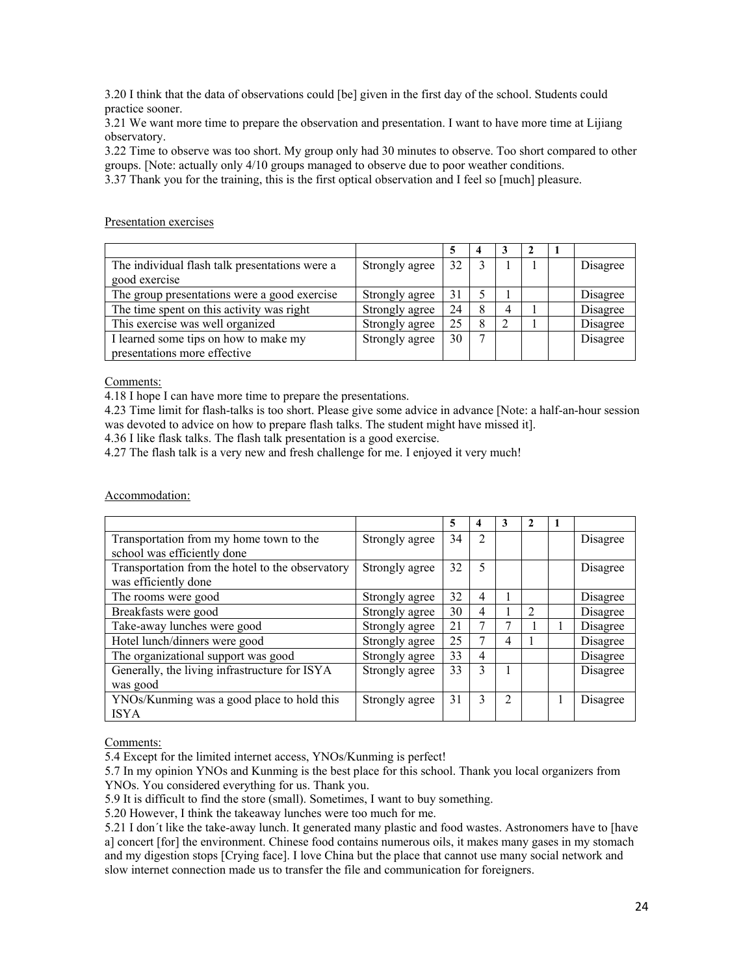3.20 I think that the data of observations could [be] given in the first day of the school. Students could practice sooner.

3.21 We want more time to prepare the observation and presentation. I want to have more time at Lijiang observatory.

3.22 Time to observe was too short. My group only had 30 minutes to observe. Too short compared to other groups. [Note: actually only 4/10 groups managed to observe due to poor weather conditions.

3.37 Thank you for the training, this is the first optical observation and I feel so [much] pleasure.

#### Presentation exercises

|                                                |                |    | 4 |   |  |          |
|------------------------------------------------|----------------|----|---|---|--|----------|
| The individual flash talk presentations were a | Strongly agree | 32 |   |   |  | Disagree |
| good exercise                                  |                |    |   |   |  |          |
| The group presentations were a good exercise   | Strongly agree | 31 |   |   |  | Disagree |
| The time spent on this activity was right      | Strongly agree | 24 |   | 4 |  | Disagree |
| This exercise was well organized               | Strongly agree | 25 | 8 | 2 |  | Disagree |
| I learned some tips on how to make my          | Strongly agree | 30 |   |   |  | Disagree |
| presentations more effective                   |                |    |   |   |  |          |

Comments:

4.18 I hope I can have more time to prepare the presentations.

4.23 Time limit for flash-talks is too short. Please give some advice in advance [Note: a half-an-hour session was devoted to advice on how to prepare flash talks. The student might have missed it].

4.36 I like flask talks. The flash talk presentation is a good exercise.

4.27 The flash talk is a very new and fresh challenge for me. I enjoyed it very much!

Accommodation:

|                                                  |                | 5  | 4              | 3                           |                |          |
|--------------------------------------------------|----------------|----|----------------|-----------------------------|----------------|----------|
| Transportation from my home town to the          | Strongly agree | 34 | $\mathfrak{D}$ |                             |                | Disagree |
| school was efficiently done                      |                |    |                |                             |                |          |
| Transportation from the hotel to the observatory | Strongly agree | 32 | 5              |                             |                | Disagree |
| was efficiently done                             |                |    |                |                             |                |          |
| The rooms were good                              | Strongly agree | 32 | 4              |                             |                | Disagree |
| Breakfasts were good                             | Strongly agree | 30 | 4              |                             | $\mathfrak{D}$ | Disagree |
| Take-away lunches were good                      | Strongly agree | 21 |                |                             |                | Disagree |
| Hotel lunch/dinners were good                    | Strongly agree | 25 |                | 4                           |                | Disagree |
| The organizational support was good              | Strongly agree | 33 | 4              |                             |                | Disagree |
| Generally, the living infrastructure for ISYA    | Strongly agree | 33 | 3              |                             |                | Disagree |
| was good                                         |                |    |                |                             |                |          |
| YNOs/Kunming was a good place to hold this       | Strongly agree | 31 | 3              | $\mathcal{D}_{\mathcal{L}}$ |                | Disagree |
| <b>ISYA</b>                                      |                |    |                |                             |                |          |

#### Comments:

5.4 Except for the limited internet access, YNOs/Kunming is perfect!

5.7 In my opinion YNOs and Kunming is the best place for this school. Thank you local organizers from YNOs. You considered everything for us. Thank you.

5.9 It is difficult to find the store (small). Sometimes, I want to buy something.

5.20 However, I think the takeaway lunches were too much for me.

5.21 I don´t like the take-away lunch. It generated many plastic and food wastes. Astronomers have to [have a] concert [for] the environment. Chinese food contains numerous oils, it makes many gases in my stomach and my digestion stops [Crying face]. I love China but the place that cannot use many social network and slow internet connection made us to transfer the file and communication for foreigners.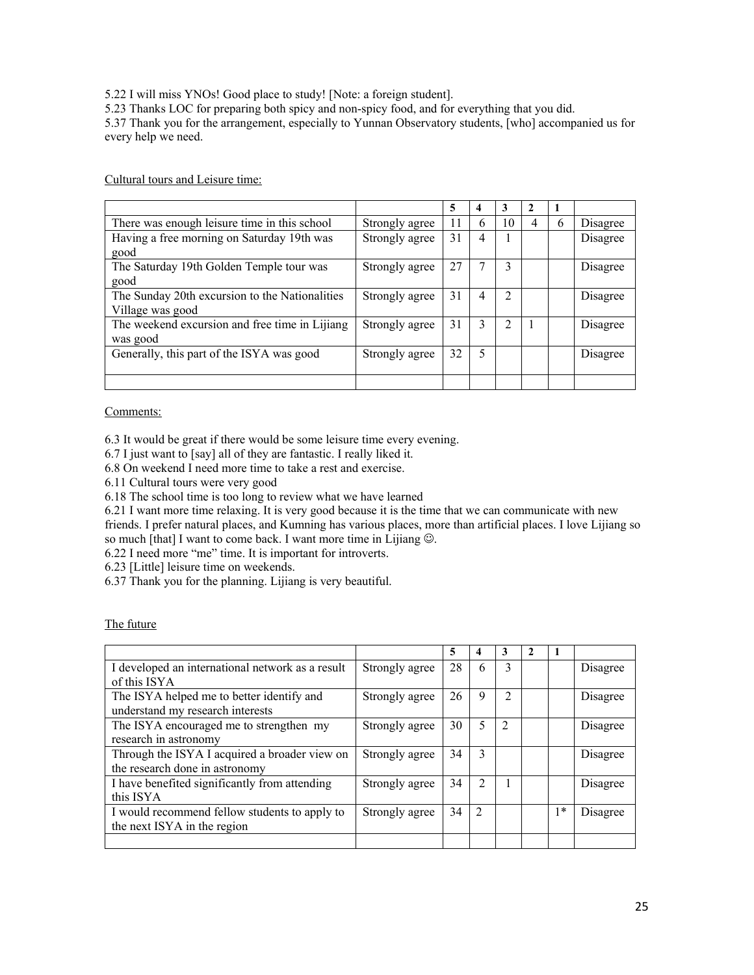5.22 I will miss YNOs! Good place to study! [Note: a foreign student].

5.23 Thanks LOC for preparing both spicy and non-spicy food, and for everything that you did.

5.37 Thank you for the arrangement, especially to Yunnan Observatory students, [who] accompanied us for every help we need.

Cultural tours and Leisure time:

|                                                                    |                | 5  | 4 | 3              |   |   |          |
|--------------------------------------------------------------------|----------------|----|---|----------------|---|---|----------|
| There was enough leisure time in this school                       | Strongly agree | 11 | h | 10             | 4 | 6 | Disagree |
| Having a free morning on Saturday 19th was<br>good                 | Strongly agree | 31 | 4 |                |   |   | Disagree |
| The Saturday 19th Golden Temple tour was<br>good                   | Strongly agree | 27 |   | 3              |   |   | Disagree |
| The Sunday 20th excursion to the Nationalities<br>Village was good | Strongly agree | 31 | 4 | $\mathfrak{D}$ |   |   | Disagree |
| The weekend excursion and free time in Lijiang<br>was good         | Strongly agree | 31 | 3 | 2              |   |   | Disagree |
| Generally, this part of the ISYA was good                          | Strongly agree | 32 | 5 |                |   |   | Disagree |
|                                                                    |                |    |   |                |   |   |          |

#### Comments:

6.3 It would be great if there would be some leisure time every evening.

6.7 I just want to [say] all of they are fantastic. I really liked it.

6.8 On weekend I need more time to take a rest and exercise.

6.11 Cultural tours were very good

6.18 The school time is too long to review what we have learned

6.21 I want more time relaxing. It is very good because it is the time that we can communicate with new friends. I prefer natural places, and Kumning has various places, more than artificial places. I love Lijiang so so much [that] I want to come back. I want more time in Lijiang  $\circledcirc$ .

6.22 I need more "me" time. It is important for introverts.

6.23 [Little] leisure time on weekends.

6.37 Thank you for the planning. Lijiang is very beautiful.

| The future |
|------------|
|------------|

|                                                                                 |                | 5  | 4              | 3             | $\mathfrak{D}$ |                |          |
|---------------------------------------------------------------------------------|----------------|----|----------------|---------------|----------------|----------------|----------|
| I developed an international network as a result<br>of this ISYA                | Strongly agree | 28 | 6              | 3             |                |                | Disagree |
| The ISYA helped me to better identify and<br>understand my research interests   | Strongly agree | 26 | 9              | $\mathcal{L}$ |                |                | Disagree |
| The ISYA encouraged me to strengthen my<br>research in astronomy                | Strongly agree | 30 | 5              | 2             |                |                | Disagree |
| Through the ISYA I acquired a broader view on<br>the research done in astronomy | Strongly agree | 34 | 3              |               |                |                | Disagree |
| I have benefited significantly from attending<br>this ISYA                      | Strongly agree | 34 | $\mathfrak{D}$ |               |                |                | Disagree |
| I would recommend fellow students to apply to<br>the next ISYA in the region    | Strongly agree | 34 | $\mathcal{L}$  |               |                | $\mathsf{I}^*$ | Disagree |
|                                                                                 |                |    |                |               |                |                |          |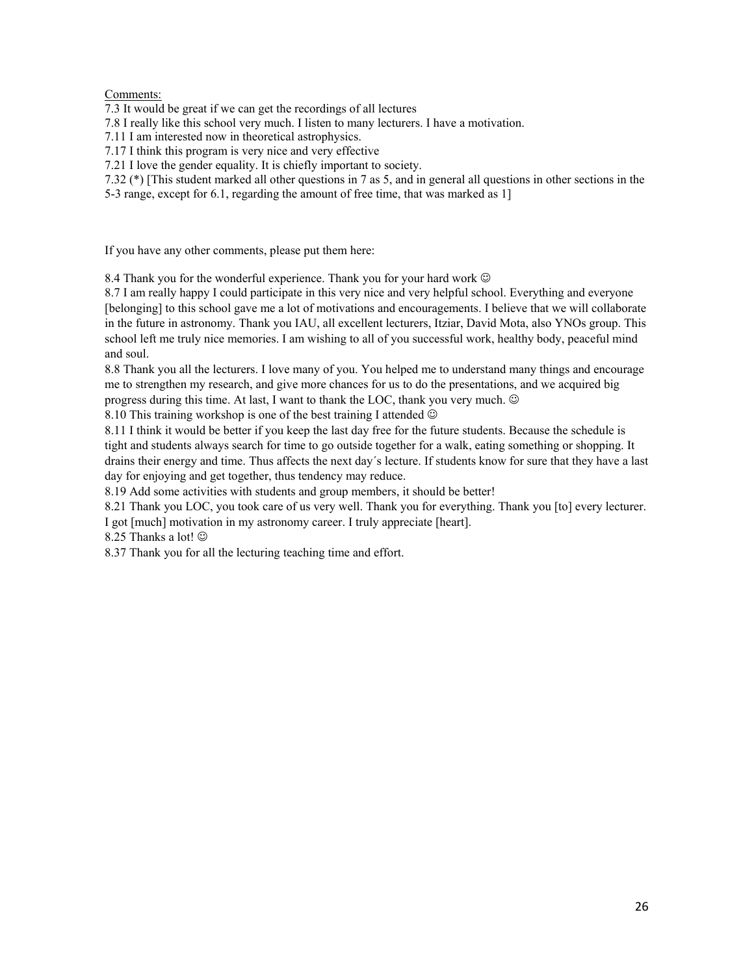Comments:

7.3 It would be great if we can get the recordings of all lectures

7.8 I really like this school very much. I listen to many lecturers. I have a motivation.

7.11 I am interested now in theoretical astrophysics.

7.17 I think this program is very nice and very effective

7.21 I love the gender equality. It is chiefly important to society.

7.32 (\*) [This student marked all other questions in 7 as 5, and in general all questions in other sections in the 5-3 range, except for 6.1, regarding the amount of free time, that was marked as 1]

If you have any other comments, please put them here:

8.4 Thank you for the wonderful experience. Thank you for your hard work  $\odot$ 

8.7 I am really happy I could participate in this very nice and very helpful school. Everything and everyone [belonging] to this school gave me a lot of motivations and encouragements. I believe that we will collaborate in the future in astronomy. Thank you IAU, all excellent lecturers, Itziar, David Mota, also YNOs group. This school left me truly nice memories. I am wishing to all of you successful work, healthy body, peaceful mind and soul.

8.8 Thank you all the lecturers. I love many of you. You helped me to understand many things and encourage me to strengthen my research, and give more chances for us to do the presentations, and we acquired big progress during this time. At last, I want to thank the LOC, thank you very much.

8.10 This training workshop is one of the best training I attended  $\odot$ 

8.11 I think it would be better if you keep the last day free for the future students. Because the schedule is tight and students always search for time to go outside together for a walk, eating something or shopping. It drains their energy and time. Thus affects the next day´s lecture. If students know for sure that they have a last day for enjoying and get together, thus tendency may reduce.

8.19 Add some activities with students and group members, it should be better!

8.21 Thank you LOC, you took care of us very well. Thank you for everything. Thank you [to] every lecturer.

I got [much] motivation in my astronomy career. I truly appreciate [heart].

8.25 Thanks a lot!  $\circledcirc$ 

8.37 Thank you for all the lecturing teaching time and effort.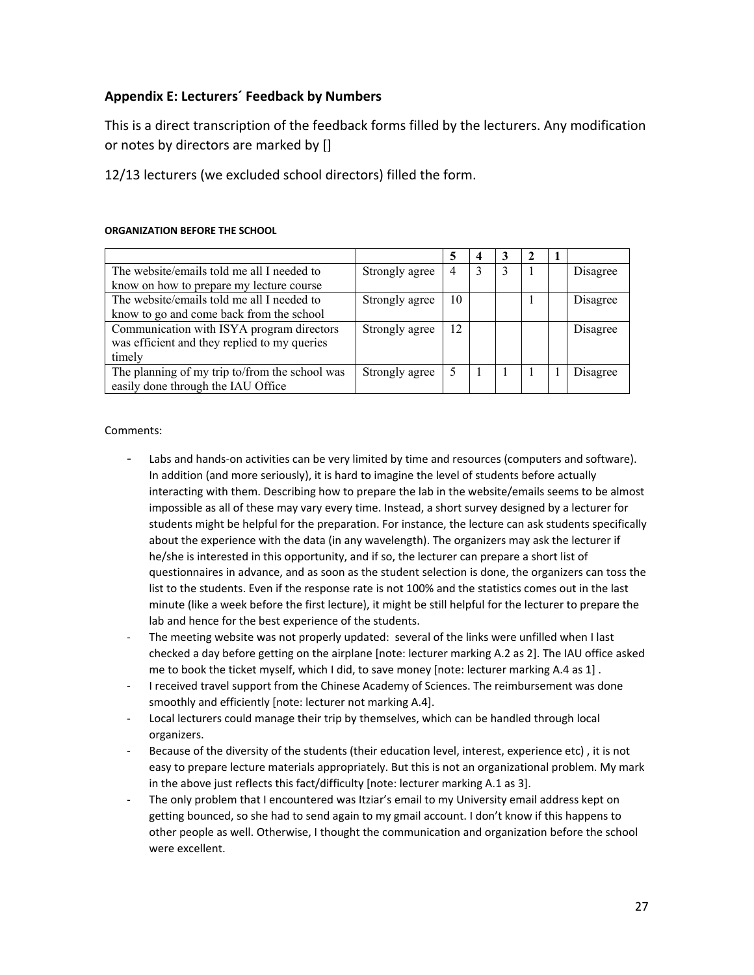### **Appendix E: Lecturers´ Feedback by Numbers**

This is a direct transcription of the feedback forms filled by the lecturers. Any modification or notes by directors are marked by []

12/13 lecturers (we excluded school directors) filled the form.

#### **ORGANIZATION BEFORE THE SCHOOL**

| The website/emails told me all I needed to     | Strongly agree | 4  |  |  | Disagree |
|------------------------------------------------|----------------|----|--|--|----------|
| know on how to prepare my lecture course       |                |    |  |  |          |
| The website/emails told me all I needed to     | Strongly agree | 10 |  |  | Disagree |
| know to go and come back from the school       |                |    |  |  |          |
| Communication with ISYA program directors      | Strongly agree | 12 |  |  | Disagree |
| was efficient and they replied to my queries   |                |    |  |  |          |
| timely                                         |                |    |  |  |          |
| The planning of my trip to/from the school was | Strongly agree | 5  |  |  | Disagree |
| easily done through the IAU Office             |                |    |  |  |          |

#### Comments:

- Labs and hands-on activities can be very limited by time and resources (computers and software). In addition (and more seriously), it is hard to imagine the level of students before actually interacting with them. Describing how to prepare the lab in the website/emails seems to be almost impossible as all of these may vary every time. Instead, a short survey designed by a lecturer for students might be helpful for the preparation. For instance, the lecture can ask students specifically about the experience with the data (in any wavelength). The organizers may ask the lecturer if he/she is interested in this opportunity, and if so, the lecturer can prepare a short list of questionnaires in advance, and as soon as the student selection is done, the organizers can toss the list to the students. Even if the response rate is not 100% and the statistics comes out in the last minute (like a week before the first lecture), it might be still helpful for the lecturer to prepare the lab and hence for the best experience of the students.
- The meeting website was not properly updated: several of the links were unfilled when I last checked a day before getting on the airplane [note: lecturer marking A.2 as 2]. The IAU office asked me to book the ticket myself, which I did, to save money [note: lecturer marking A.4 as 1] .
- I received travel support from the Chinese Academy of Sciences. The reimbursement was done smoothly and efficiently [note: lecturer not marking A.4].
- Local lecturers could manage their trip by themselves, which can be handled through local organizers.
- Because of the diversity of the students (their education level, interest, experience etc), it is not easy to prepare lecture materials appropriately. But this is not an organizational problem. My mark in the above just reflects this fact/difficulty [note: lecturer marking A.1 as 3].
- The only problem that I encountered was Itziar's email to my University email address kept on getting bounced, so she had to send again to my gmail account. I don't know if this happens to other people as well. Otherwise, I thought the communication and organization before the school were excellent.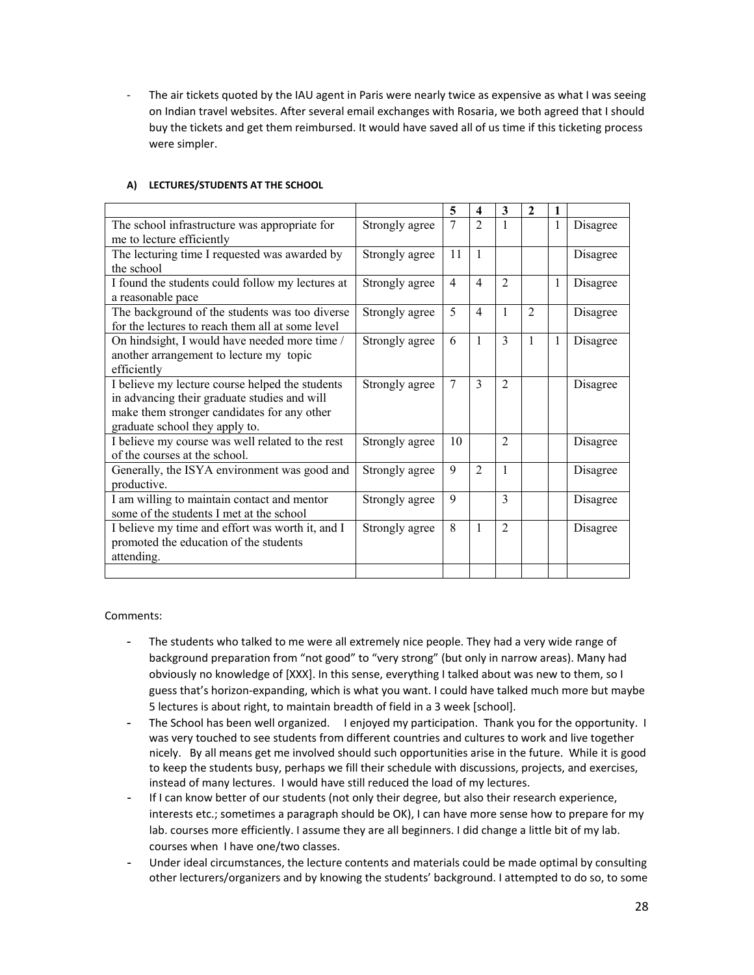The air tickets quoted by the IAU agent in Paris were nearly twice as expensive as what I was seeing on Indian travel websites. After several email exchanges with Rosaria, we both agreed that I should buy the tickets and get them reimbursed. It would have saved all of us time if this ticketing process were simpler.

|                                                  |                | 5  | 4              | 3              | $\overline{2}$ | 1 |          |
|--------------------------------------------------|----------------|----|----------------|----------------|----------------|---|----------|
| The school infrastructure was appropriate for    | Strongly agree | 7  | $\mathfrak{D}$ |                |                | 1 | Disagree |
| me to lecture efficiently                        |                |    |                |                |                |   |          |
| The lecturing time I requested was awarded by    | Strongly agree | 11 | $\mathbf{1}$   |                |                |   | Disagree |
| the school                                       |                |    |                |                |                |   |          |
| I found the students could follow my lectures at | Strongly agree | 4  | 4              | $\mathfrak{D}$ |                | 1 | Disagree |
| a reasonable pace                                |                |    |                |                |                |   |          |
| The background of the students was too diverse   | Strongly agree | 5  | 4              | 1              | $\mathfrak{D}$ |   | Disagree |
| for the lectures to reach them all at some level |                |    |                |                |                |   |          |
| On hindsight, I would have needed more time /    | Strongly agree | 6  | $\mathbf{1}$   | $\mathcal{E}$  | $\mathbf{1}$   | 1 | Disagree |
| another arrangement to lecture my topic          |                |    |                |                |                |   |          |
| efficiently                                      |                |    |                |                |                |   |          |
| I believe my lecture course helped the students  | Strongly agree | 7  | 3              | $\mathfrak{D}$ |                |   | Disagree |
| in advancing their graduate studies and will     |                |    |                |                |                |   |          |
| make them stronger candidates for any other      |                |    |                |                |                |   |          |
| graduate school they apply to.                   |                |    |                |                |                |   |          |
| I believe my course was well related to the rest | Strongly agree | 10 |                | $\mathfrak{D}$ |                |   | Disagree |
| of the courses at the school.                    |                |    |                |                |                |   |          |
| Generally, the ISYA environment was good and     | Strongly agree | 9  | $\mathfrak{D}$ | 1              |                |   | Disagree |
| productive.                                      |                |    |                |                |                |   |          |
| I am willing to maintain contact and mentor      | Strongly agree | 9  |                | 3              |                |   | Disagree |
| some of the students I met at the school         |                |    |                |                |                |   |          |
| I believe my time and effort was worth it, and I | Strongly agree | 8  | 1              | $\mathfrak{D}$ |                |   | Disagree |
| promoted the education of the students           |                |    |                |                |                |   |          |
| attending.                                       |                |    |                |                |                |   |          |
|                                                  |                |    |                |                |                |   |          |

#### **A) LECTURES/STUDENTS AT THE SCHOOL**

Comments:

- The students who talked to me were all extremely nice people. They had a very wide range of background preparation from "not good" to "very strong" (but only in narrow areas). Many had obviously no knowledge of [XXX]. In this sense, everything I talked about was new to them, so I guess that's horizon-expanding, which is what you want. I could have talked much more but maybe 5 lectures is about right, to maintain breadth of field in a 3 week [school].
- The School has been well organized. I enjoyed my participation. Thank you for the opportunity. I was very touched to see students from different countries and cultures to work and live together nicely. By all means get me involved should such opportunities arise in the future. While it is good to keep the students busy, perhaps we fill their schedule with discussions, projects, and exercises, instead of many lectures. I would have still reduced the load of my lectures.
- If I can know better of our students (not only their degree, but also their research experience, interests etc.; sometimes a paragraph should be OK), I can have more sense how to prepare for my lab. courses more efficiently. I assume they are all beginners. I did change a little bit of my lab. courses when I have one/two classes.
- Under ideal circumstances, the lecture contents and materials could be made optimal by consulting other lecturers/organizers and by knowing the students' background. I attempted to do so, to some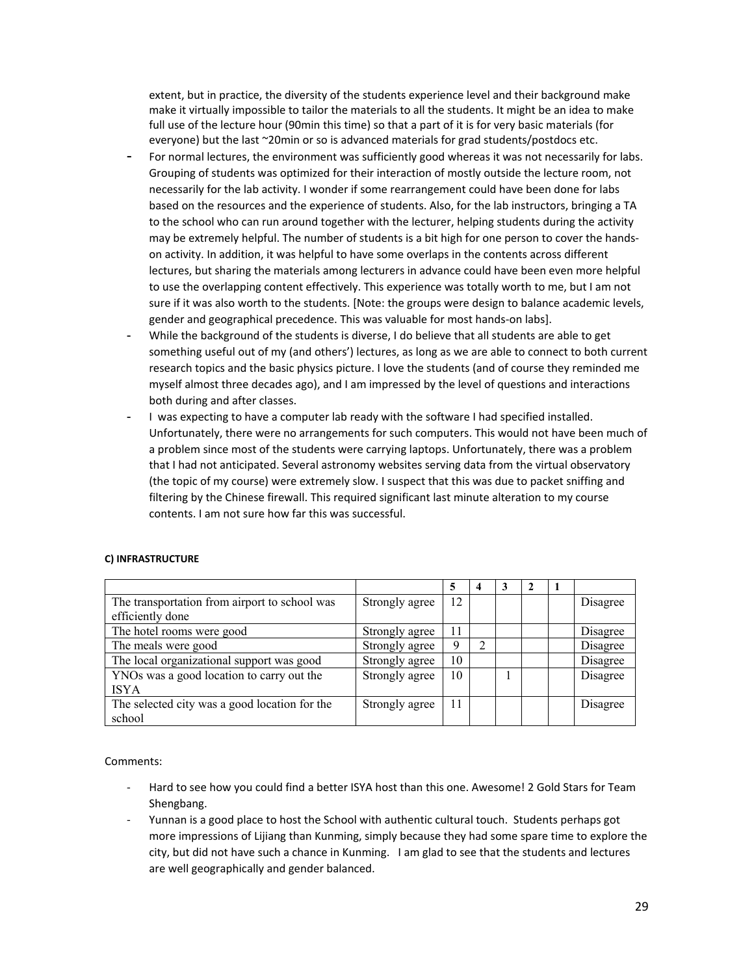extent, but in practice, the diversity of the students experience level and their background make make it virtually impossible to tailor the materials to all the students. It might be an idea to make full use of the lecture hour (90min this time) so that a part of it is for very basic materials (for everyone) but the last ~20min or so is advanced materials for grad students/postdocs etc.

- For normal lectures, the environment was sufficiently good whereas it was not necessarily for labs. Grouping of students was optimized for their interaction of mostly outside the lecture room, not necessarily for the lab activity. I wonder if some rearrangement could have been done for labs based on the resources and the experience of students. Also, for the lab instructors, bringing a TA to the school who can run around together with the lecturer, helping students during the activity may be extremely helpful. The number of students is a bit high for one person to cover the handson activity. In addition, it was helpful to have some overlaps in the contents across different lectures, but sharing the materials among lecturers in advance could have been even more helpful to use the overlapping content effectively. This experience was totally worth to me, but I am not sure if it was also worth to the students. [Note: the groups were design to balance academic levels, gender and geographical precedence. This was valuable for most hands-on labs].
- While the background of the students is diverse, I do believe that all students are able to get something useful out of my (and others') lectures, as long as we are able to connect to both current research topics and the basic physics picture. I love the students (and of course they reminded me myself almost three decades ago), and I am impressed by the level of questions and interactions both during and after classes.
- I was expecting to have a computer lab ready with the software I had specified installed. Unfortunately, there were no arrangements for such computers. This would not have been much of a problem since most of the students were carrying laptops. Unfortunately, there was a problem that I had not anticipated. Several astronomy websites serving data from the virtual observatory (the topic of my course) were extremely slow. I suspect that this was due to packet sniffing and filtering by the Chinese firewall. This required significant last minute alteration to my course contents. I am not sure how far this was successful.

#### **C) INFRASTRUCTURE**

|                                               |                |    |   | 3 |  |          |
|-----------------------------------------------|----------------|----|---|---|--|----------|
| The transportation from airport to school was | Strongly agree | 12 |   |   |  | Disagree |
| efficiently done                              |                |    |   |   |  |          |
| The hotel rooms were good                     | Strongly agree | 11 |   |   |  | Disagree |
| The meals were good                           | Strongly agree | q  | ↑ |   |  | Disagree |
| The local organizational support was good     | Strongly agree | 10 |   |   |  | Disagree |
| YNOs was a good location to carry out the     | Strongly agree | 10 |   |   |  | Disagree |
| <b>ISYA</b>                                   |                |    |   |   |  |          |
| The selected city was a good location for the | Strongly agree | 11 |   |   |  | Disagree |
| school                                        |                |    |   |   |  |          |

Comments:

- Hard to see how you could find a better ISYA host than this one. Awesome! 2 Gold Stars for Team Shengbang.
- Yunnan is a good place to host the School with authentic cultural touch. Students perhaps got more impressions of Lijiang than Kunming, simply because they had some spare time to explore the city, but did not have such a chance in Kunming. I am glad to see that the students and lectures are well geographically and gender balanced.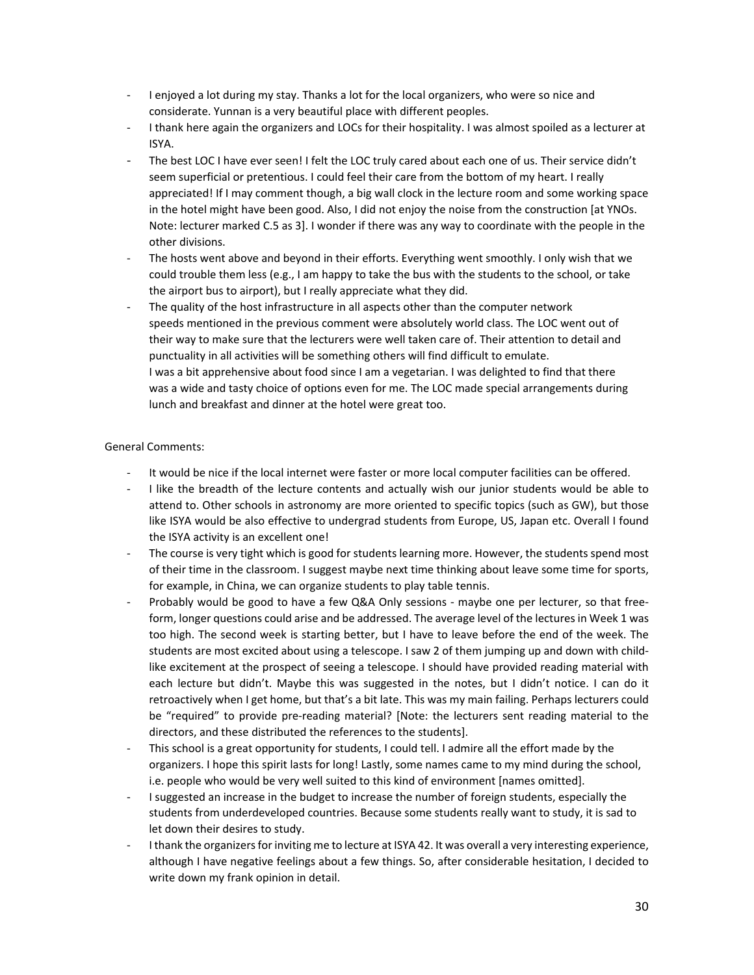- I enjoyed a lot during my stay. Thanks a lot for the local organizers, who were so nice and considerate. Yunnan is a very beautiful place with different peoples.
- I thank here again the organizers and LOCs for their hospitality. I was almost spoiled as a lecturer at ISYA.
- The best LOC I have ever seen! I felt the LOC truly cared about each one of us. Their service didn't seem superficial or pretentious. I could feel their care from the bottom of my heart. I really appreciated! If I may comment though, a big wall clock in the lecture room and some working space in the hotel might have been good. Also, I did not enjoy the noise from the construction [at YNOs. Note: lecturer marked C.5 as 3]. I wonder if there was any way to coordinate with the people in the other divisions.
- The hosts went above and beyond in their efforts. Everything went smoothly. I only wish that we could trouble them less (e.g., I am happy to take the bus with the students to the school, or take the airport bus to airport), but I really appreciate what they did.
- The quality of the host infrastructure in all aspects other than the computer network speeds mentioned in the previous comment were absolutely world class. The LOC went out of their way to make sure that the lecturers were well taken care of. Their attention to detail and punctuality in all activities will be something others will find difficult to emulate. I was a bit apprehensive about food since I am a vegetarian. I was delighted to find that there was a wide and tasty choice of options even for me. The LOC made special arrangements during lunch and breakfast and dinner at the hotel were great too.

#### General Comments:

- It would be nice if the local internet were faster or more local computer facilities can be offered.
- I like the breadth of the lecture contents and actually wish our junior students would be able to attend to. Other schools in astronomy are more oriented to specific topics (such as GW), but those like ISYA would be also effective to undergrad students from Europe, US, Japan etc. Overall I found the ISYA activity is an excellent one!
- The course is very tight which is good for students learning more. However, the students spend most of their time in the classroom. I suggest maybe next time thinking about leave some time for sports, for example, in China, we can organize students to play table tennis.
- Probably would be good to have a few Q&A Only sessions maybe one per lecturer, so that freeform, longer questions could arise and be addressed. The average level of the lectures in Week 1 was too high. The second week is starting better, but I have to leave before the end of the week. The students are most excited about using a telescope. I saw 2 of them jumping up and down with childlike excitement at the prospect of seeing a telescope. I should have provided reading material with each lecture but didn't. Maybe this was suggested in the notes, but I didn't notice. I can do it retroactively when I get home, but that's a bit late. This was my main failing. Perhaps lecturers could be "required" to provide pre-reading material? [Note: the lecturers sent reading material to the directors, and these distributed the references to the students].
- This school is a great opportunity for students, I could tell. I admire all the effort made by the organizers. I hope this spirit lasts for long! Lastly, some names came to my mind during the school, i.e. people who would be very well suited to this kind of environment [names omitted].
- I suggested an increase in the budget to increase the number of foreign students, especially the students from underdeveloped countries. Because some students really want to study, it is sad to let down their desires to study.
- I thank the organizers for inviting me to lecture at ISYA 42. It was overall a very interesting experience, although I have negative feelings about a few things. So, after considerable hesitation, I decided to write down my frank opinion in detail.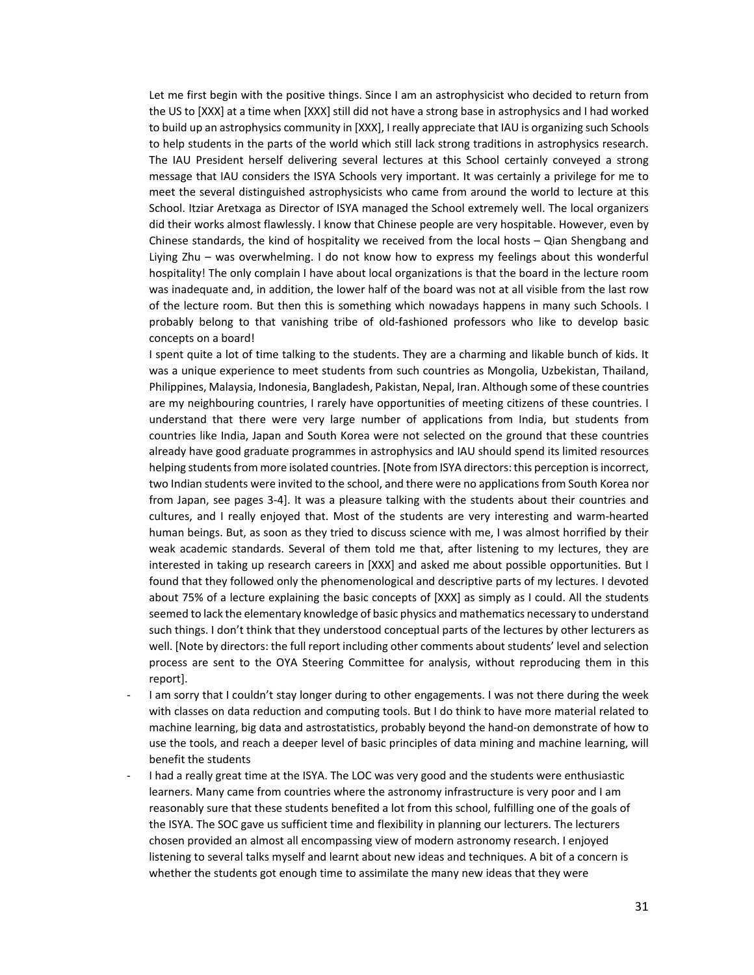Let me first begin with the positive things. Since I am an astrophysicist who decided to return from the US to [XXX] at a time when [XXX] still did not have a strong base in astrophysics and I had worked to build up an astrophysics community in [XXX], I really appreciate that IAU is organizing such Schools to help students in the parts of the world which still lack strong traditions in astrophysics research. The IAU President herself delivering several lectures at this School certainly conveyed a strong message that IAU considers the ISYA Schools very important. It was certainly a privilege for me to meet the several distinguished astrophysicists who came from around the world to lecture at this School. Itziar Aretxaga as Director of ISYA managed the School extremely well. The local organizers did their works almost flawlessly. I know that Chinese people are very hospitable. However, even by Chinese standards, the kind of hospitality we received from the local hosts – Qian Shengbang and Liying Zhu – was overwhelming. I do not know how to express my feelings about this wonderful hospitality! The only complain I have about local organizations is that the board in the lecture room was inadequate and, in addition, the lower half of the board was not at all visible from the last row of the lecture room. But then this is something which nowadays happens in many such Schools. I probably belong to that vanishing tribe of old-fashioned professors who like to develop basic concepts on a board!

I spent quite a lot of time talking to the students. They are a charming and likable bunch of kids. It was a unique experience to meet students from such countries as Mongolia, Uzbekistan, Thailand, Philippines, Malaysia, Indonesia, Bangladesh, Pakistan, Nepal, Iran. Although some of these countries are my neighbouring countries, I rarely have opportunities of meeting citizens of these countries. I understand that there were very large number of applications from India, but students from countries like India, Japan and South Korea were not selected on the ground that these countries already have good graduate programmes in astrophysics and IAU should spend its limited resources helping students from more isolated countries. [Note from ISYA directors: this perception is incorrect, two Indian students were invited to the school, and there were no applications from South Korea nor from Japan, see pages 3-4]. It was a pleasure talking with the students about their countries and cultures, and I really enjoyed that. Most of the students are very interesting and warm-hearted human beings. But, as soon as they tried to discuss science with me, I was almost horrified by their weak academic standards. Several of them told me that, after listening to my lectures, they are interested in taking up research careers in [XXX] and asked me about possible opportunities. But I found that they followed only the phenomenological and descriptive parts of my lectures. I devoted about 75% of a lecture explaining the basic concepts of [XXX] as simply as I could. All the students seemed to lack the elementary knowledge of basic physics and mathematics necessary to understand such things. I don't think that they understood conceptual parts of the lectures by other lecturers as well. [Note by directors: the full report including other comments about students' level and selection process are sent to the OYA Steering Committee for analysis, without reproducing them in this report].

- I am sorry that I couldn't stay longer during to other engagements. I was not there during the week with classes on data reduction and computing tools. But I do think to have more material related to machine learning, big data and astrostatistics, probably beyond the hand-on demonstrate of how to use the tools, and reach a deeper level of basic principles of data mining and machine learning, will benefit the students
- I had a really great time at the ISYA. The LOC was very good and the students were enthusiastic learners. Many came from countries where the astronomy infrastructure is very poor and I am reasonably sure that these students benefited a lot from this school, fulfilling one of the goals of the ISYA. The SOC gave us sufficient time and flexibility in planning our lecturers. The lecturers chosen provided an almost all encompassing view of modern astronomy research. I enjoyed listening to several talks myself and learnt about new ideas and techniques. A bit of a concern is whether the students got enough time to assimilate the many new ideas that they were